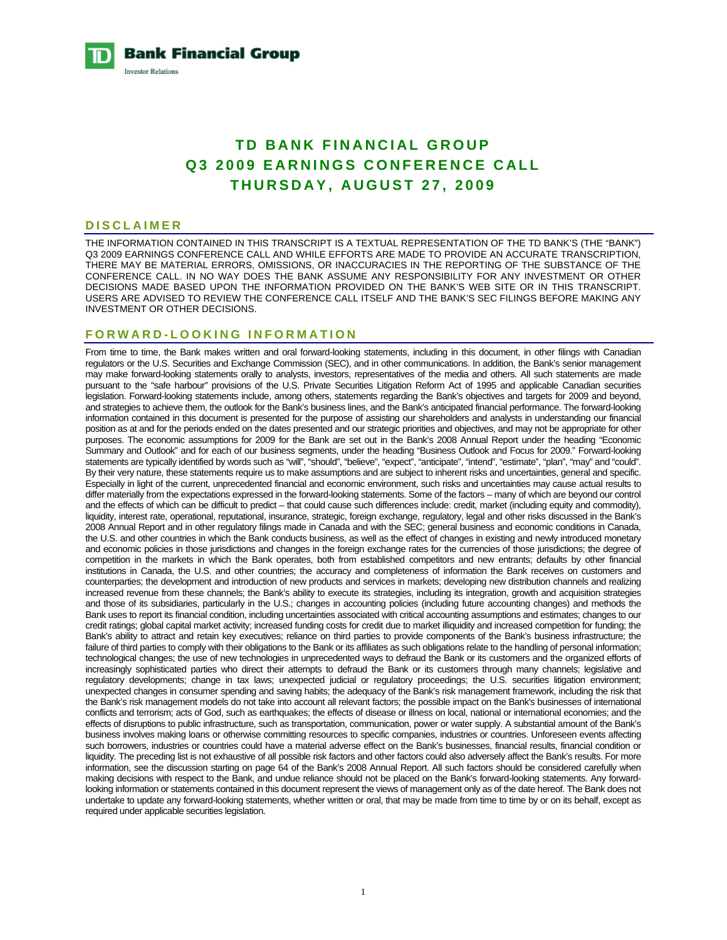**Bank Financial Group Investor Relations** 

# **TD BANK FINANCIAL GROUP Q3 2009 EARNINGS CONFERENCE CALL THURSDAY, AUGUST 27, 2009**

#### **DISCLAIMER**

THE INFORMATION CONTAINED IN THIS TRANSCRIPT IS A TEXTUAL REPRESENTATION OF THE TD BANK'S (THE "BANK") Q3 2009 EARNINGS CONFERENCE CALL AND WHILE EFFORTS ARE MADE TO PROVIDE AN ACCURATE TRANSCRIPTION, THERE MAY BE MATERIAL ERRORS, OMISSIONS, OR INACCURACIES IN THE REPORTING OF THE SUBSTANCE OF THE CONFERENCE CALL. IN NO WAY DOES THE BANK ASSUME ANY RESPONSIBILITY FOR ANY INVESTMENT OR OTHER DECISIONS MADE BASED UPON THE INFORMATION PROVIDED ON THE BANK'S WEB SITE OR IN THIS TRANSCRIPT. USERS ARE ADVISED TO REVIEW THE CONFERENCE CALL ITSELF AND THE BANK'S SEC FILINGS BEFORE MAKING ANY INVESTMENT OR OTHER DECISIONS.

## **FORWARD-LOOKING INFORMATION**

From time to time, the Bank makes written and oral forward-looking statements, including in this document, in other filings with Canadian regulators or the U.S. Securities and Exchange Commission (SEC), and in other communications. In addition, the Bank's senior management may make forward-looking statements orally to analysts, investors, representatives of the media and others. All such statements are made pursuant to the "safe harbour" provisions of the U.S. Private Securities Litigation Reform Act of 1995 and applicable Canadian securities legislation. Forward-looking statements include, among others, statements regarding the Bank's objectives and targets for 2009 and beyond, and strategies to achieve them, the outlook for the Bank's business lines, and the Bank's anticipated financial performance. The forward-looking information contained in this document is presented for the purpose of assisting our shareholders and analysts in understanding our financial position as at and for the periods ended on the dates presented and our strategic priorities and objectives, and may not be appropriate for other purposes. The economic assumptions for 2009 for the Bank are set out in the Bank's 2008 Annual Report under the heading "Economic Summary and Outlook" and for each of our business segments, under the heading "Business Outlook and Focus for 2009." Forward-looking statements are typically identified by words such as "will", "should", "believe", "expect", "anticipate", "intend", "estimate", "plan", "may" and "could". By their very nature, these statements require us to make assumptions and are subject to inherent risks and uncertainties, general and specific. Especially in light of the current, unprecedented financial and economic environment, such risks and uncertainties may cause actual results to differ materially from the expectations expressed in the forward-looking statements. Some of the factors – many of which are beyond our control and the effects of which can be difficult to predict – that could cause such differences include: credit, market (including equity and commodity), liquidity, interest rate, operational, reputational, insurance, strategic, foreign exchange, regulatory, legal and other risks discussed in the Bank's 2008 Annual Report and in other regulatory filings made in Canada and with the SEC; general business and economic conditions in Canada, the U.S. and other countries in which the Bank conducts business, as well as the effect of changes in existing and newly introduced monetary and economic policies in those jurisdictions and changes in the foreign exchange rates for the currencies of those jurisdictions; the degree of competition in the markets in which the Bank operates, both from established competitors and new entrants; defaults by other financial institutions in Canada, the U.S. and other countries; the accuracy and completeness of information the Bank receives on customers and counterparties; the development and introduction of new products and services in markets; developing new distribution channels and realizing increased revenue from these channels; the Bank's ability to execute its strategies, including its integration, growth and acquisition strategies and those of its subsidiaries, particularly in the U.S.; changes in accounting policies (including future accounting changes) and methods the Bank uses to report its financial condition, including uncertainties associated with critical accounting assumptions and estimates; changes to our credit ratings; global capital market activity; increased funding costs for credit due to market illiquidity and increased competition for funding; the Bank's ability to attract and retain key executives; reliance on third parties to provide components of the Bank's business infrastructure; the failure of third parties to comply with their obligations to the Bank or its affiliates as such obligations relate to the handling of personal information; technological changes; the use of new technologies in unprecedented ways to defraud the Bank or its customers and the organized efforts of increasingly sophisticated parties who direct their attempts to defraud the Bank or its customers through many channels; legislative and regulatory developments; change in tax laws; unexpected judicial or regulatory proceedings; the U.S. securities litigation environment; unexpected changes in consumer spending and saving habits; the adequacy of the Bank's risk management framework, including the risk that the Bank's risk management models do not take into account all relevant factors; the possible impact on the Bank's businesses of international conflicts and terrorism; acts of God, such as earthquakes; the effects of disease or illness on local, national or international economies; and the effects of disruptions to public infrastructure, such as transportation, communication, power or water supply. A substantial amount of the Bank's business involves making loans or otherwise committing resources to specific companies, industries or countries. Unforeseen events affecting such borrowers, industries or countries could have a material adverse effect on the Bank's businesses, financial results, financial condition or liquidity. The preceding list is not exhaustive of all possible risk factors and other factors could also adversely affect the Bank's results. For more information, see the discussion starting on page 64 of the Bank's 2008 Annual Report. All such factors should be considered carefully when making decisions with respect to the Bank, and undue reliance should not be placed on the Bank's forward-looking statements. Any forwardlooking information or statements contained in this document represent the views of management only as of the date hereof. The Bank does not undertake to update any forward-looking statements, whether written or oral, that may be made from time to time by or on its behalf, except as required under applicable securities legislation.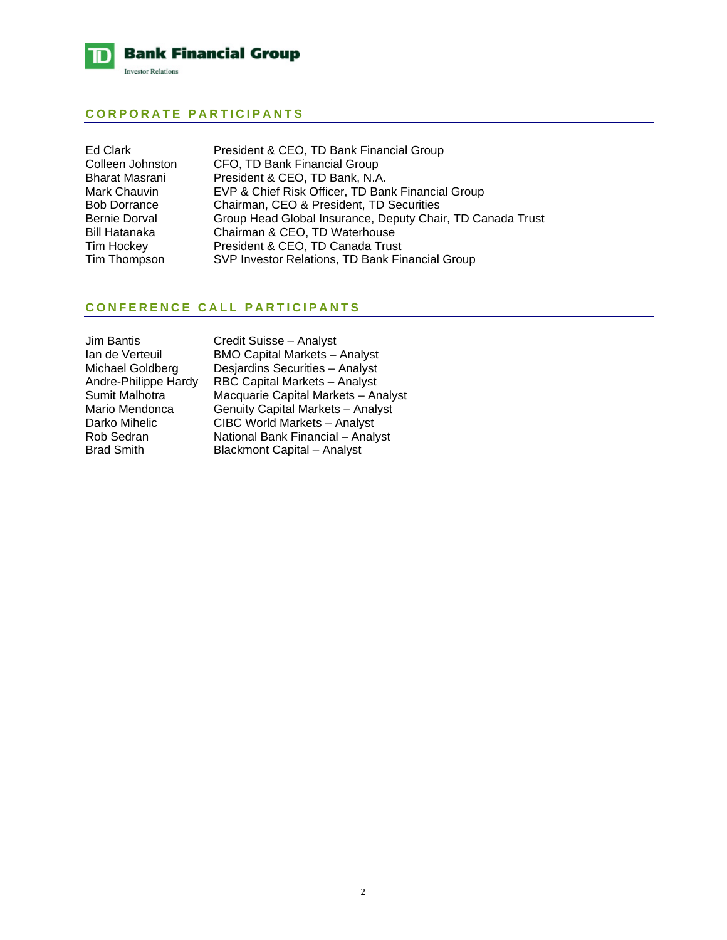

## **CORPORATE PARTICIPANTS**

| Ed Clark            | President & CEO, TD Bank Financial Group                   |
|---------------------|------------------------------------------------------------|
| Colleen Johnston    | CFO, TD Bank Financial Group                               |
| Bharat Masrani      | President & CEO, TD Bank, N.A.                             |
| Mark Chauvin        | EVP & Chief Risk Officer, TD Bank Financial Group          |
| <b>Bob Dorrance</b> | Chairman, CEO & President, TD Securities                   |
| Bernie Dorval       | Group Head Global Insurance, Deputy Chair, TD Canada Trust |
| Bill Hatanaka       | Chairman & CEO, TD Waterhouse                              |
| Tim Hockey          | President & CEO, TD Canada Trust                           |
| Tim Thompson        | SVP Investor Relations, TD Bank Financial Group            |
|                     |                                                            |

## **CONFERENCE CALL PARTICIPANTS**

| <b>Jim Bantis</b>    |  |
|----------------------|--|
| Ian de Verteuil      |  |
| Michael Goldberg     |  |
| Andre-Philippe Hardy |  |
| Sumit Malhotra       |  |
| Mario Mendonca       |  |
| Darko Mihelic        |  |
| Rob Sedran           |  |
| <b>Brad Smith</b>    |  |

Credit Suisse – Analyst BMO Capital Markets – Analyst Desjardins Securities – Analyst Andre-Philippe Hardy RBC Capital Markets – Analyst Sumit Malhotra Macquarie Capital Markets – Analyst **Genuity Capital Markets – Analyst** CIBC World Markets – Analyst National Bank Financial – Analyst Blackmont Capital – Analyst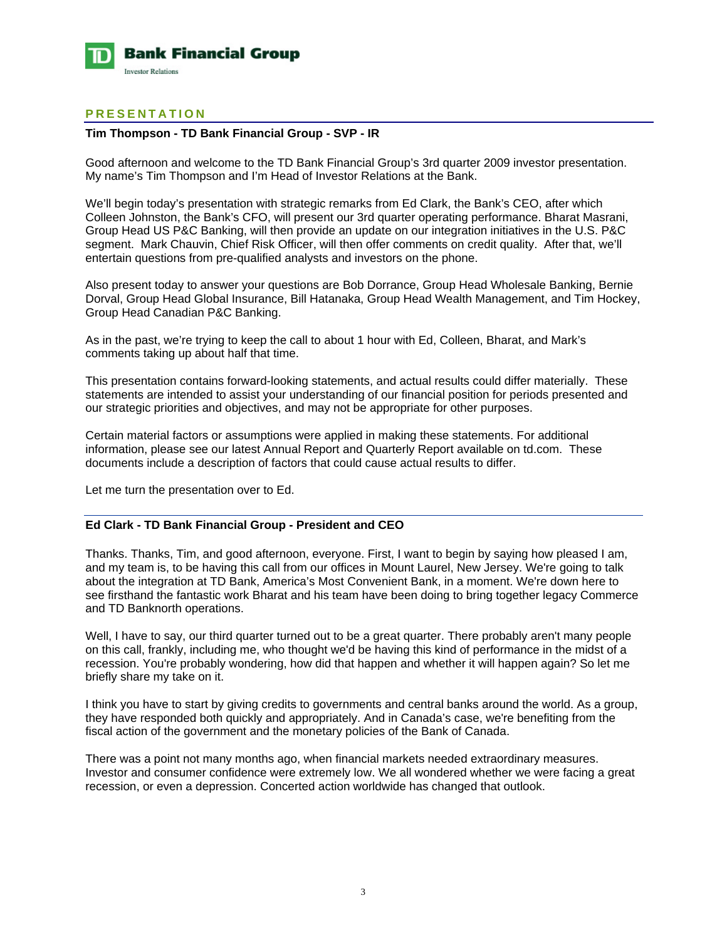

## **PRESENTATION**

## **Tim Thompson - TD Bank Financial Group - SVP - IR**

Good afternoon and welcome to the TD Bank Financial Group's 3rd quarter 2009 investor presentation. My name's Tim Thompson and I'm Head of Investor Relations at the Bank.

We'll begin today's presentation with strategic remarks from Ed Clark, the Bank's CEO, after which Colleen Johnston, the Bank's CFO, will present our 3rd quarter operating performance. Bharat Masrani, Group Head US P&C Banking, will then provide an update on our integration initiatives in the U.S. P&C segment. Mark Chauvin, Chief Risk Officer, will then offer comments on credit quality. After that, we'll entertain questions from pre-qualified analysts and investors on the phone.

Also present today to answer your questions are Bob Dorrance, Group Head Wholesale Banking, Bernie Dorval, Group Head Global Insurance, Bill Hatanaka, Group Head Wealth Management, and Tim Hockey, Group Head Canadian P&C Banking.

As in the past, we're trying to keep the call to about 1 hour with Ed, Colleen, Bharat, and Mark's comments taking up about half that time.

This presentation contains forward-looking statements, and actual results could differ materially. These statements are intended to assist your understanding of our financial position for periods presented and our strategic priorities and objectives, and may not be appropriate for other purposes.

Certain material factors or assumptions were applied in making these statements. For additional information, please see our latest Annual Report and Quarterly Report available on td.com. These documents include a description of factors that could cause actual results to differ.

Let me turn the presentation over to Ed.

## **Ed Clark - TD Bank Financial Group - President and CEO**

Thanks. Thanks, Tim, and good afternoon, everyone. First, I want to begin by saying how pleased I am, and my team is, to be having this call from our offices in Mount Laurel, New Jersey. We're going to talk about the integration at TD Bank, America's Most Convenient Bank, in a moment. We're down here to see firsthand the fantastic work Bharat and his team have been doing to bring together legacy Commerce and TD Banknorth operations.

Well, I have to say, our third quarter turned out to be a great quarter. There probably aren't many people on this call, frankly, including me, who thought we'd be having this kind of performance in the midst of a recession. You're probably wondering, how did that happen and whether it will happen again? So let me briefly share my take on it.

I think you have to start by giving credits to governments and central banks around the world. As a group, they have responded both quickly and appropriately. And in Canada's case, we're benefiting from the fiscal action of the government and the monetary policies of the Bank of Canada.

There was a point not many months ago, when financial markets needed extraordinary measures. Investor and consumer confidence were extremely low. We all wondered whether we were facing a great recession, or even a depression. Concerted action worldwide has changed that outlook.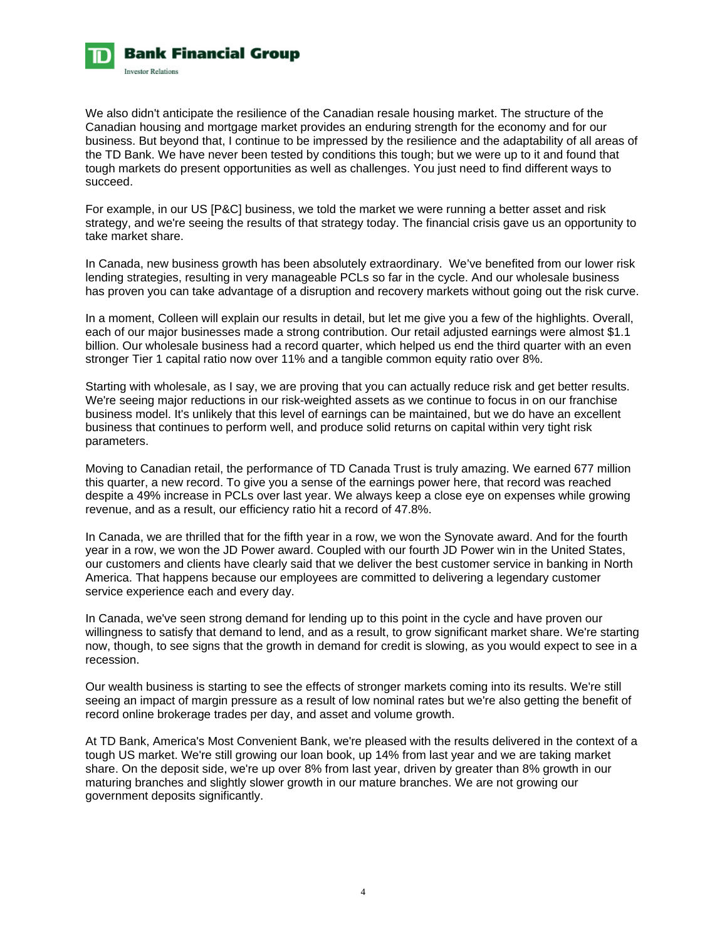

We also didn't anticipate the resilience of the Canadian resale housing market. The structure of the Canadian housing and mortgage market provides an enduring strength for the economy and for our business. But beyond that, I continue to be impressed by the resilience and the adaptability of all areas of the TD Bank. We have never been tested by conditions this tough; but we were up to it and found that tough markets do present opportunities as well as challenges. You just need to find different ways to succeed.

For example, in our US [P&C] business, we told the market we were running a better asset and risk strategy, and we're seeing the results of that strategy today. The financial crisis gave us an opportunity to take market share.

In Canada, new business growth has been absolutely extraordinary. We've benefited from our lower risk lending strategies, resulting in very manageable PCLs so far in the cycle. And our wholesale business has proven you can take advantage of a disruption and recovery markets without going out the risk curve.

In a moment, Colleen will explain our results in detail, but let me give you a few of the highlights. Overall, each of our major businesses made a strong contribution. Our retail adjusted earnings were almost \$1.1 billion. Our wholesale business had a record quarter, which helped us end the third quarter with an even stronger Tier 1 capital ratio now over 11% and a tangible common equity ratio over 8%.

Starting with wholesale, as I say, we are proving that you can actually reduce risk and get better results. We're seeing major reductions in our risk-weighted assets as we continue to focus in on our franchise business model. It's unlikely that this level of earnings can be maintained, but we do have an excellent business that continues to perform well, and produce solid returns on capital within very tight risk parameters.

Moving to Canadian retail, the performance of TD Canada Trust is truly amazing. We earned 677 million this quarter, a new record. To give you a sense of the earnings power here, that record was reached despite a 49% increase in PCLs over last year. We always keep a close eye on expenses while growing revenue, and as a result, our efficiency ratio hit a record of 47.8%.

In Canada, we are thrilled that for the fifth year in a row, we won the Synovate award. And for the fourth year in a row, we won the JD Power award. Coupled with our fourth JD Power win in the United States, our customers and clients have clearly said that we deliver the best customer service in banking in North America. That happens because our employees are committed to delivering a legendary customer service experience each and every day.

In Canada, we've seen strong demand for lending up to this point in the cycle and have proven our willingness to satisfy that demand to lend, and as a result, to grow significant market share. We're starting now, though, to see signs that the growth in demand for credit is slowing, as you would expect to see in a recession.

Our wealth business is starting to see the effects of stronger markets coming into its results. We're still seeing an impact of margin pressure as a result of low nominal rates but we're also getting the benefit of record online brokerage trades per day, and asset and volume growth.

At TD Bank, America's Most Convenient Bank, we're pleased with the results delivered in the context of a tough US market. We're still growing our loan book, up 14% from last year and we are taking market share. On the deposit side, we're up over 8% from last year, driven by greater than 8% growth in our maturing branches and slightly slower growth in our mature branches. We are not growing our government deposits significantly.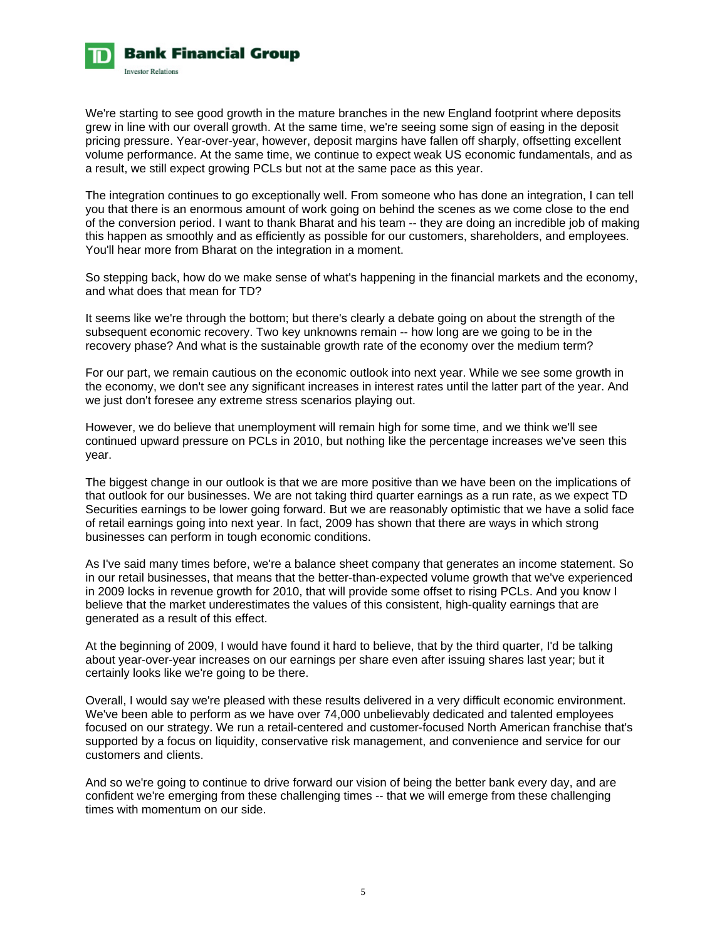

We're starting to see good growth in the mature branches in the new England footprint where deposits grew in line with our overall growth. At the same time, we're seeing some sign of easing in the deposit pricing pressure. Year-over-year, however, deposit margins have fallen off sharply, offsetting excellent volume performance. At the same time, we continue to expect weak US economic fundamentals, and as a result, we still expect growing PCLs but not at the same pace as this year.

The integration continues to go exceptionally well. From someone who has done an integration, I can tell you that there is an enormous amount of work going on behind the scenes as we come close to the end of the conversion period. I want to thank Bharat and his team -- they are doing an incredible job of making this happen as smoothly and as efficiently as possible for our customers, shareholders, and employees. You'll hear more from Bharat on the integration in a moment.

So stepping back, how do we make sense of what's happening in the financial markets and the economy, and what does that mean for TD?

It seems like we're through the bottom; but there's clearly a debate going on about the strength of the subsequent economic recovery. Two key unknowns remain -- how long are we going to be in the recovery phase? And what is the sustainable growth rate of the economy over the medium term?

For our part, we remain cautious on the economic outlook into next year. While we see some growth in the economy, we don't see any significant increases in interest rates until the latter part of the year. And we just don't foresee any extreme stress scenarios playing out.

However, we do believe that unemployment will remain high for some time, and we think we'll see continued upward pressure on PCLs in 2010, but nothing like the percentage increases we've seen this year.

The biggest change in our outlook is that we are more positive than we have been on the implications of that outlook for our businesses. We are not taking third quarter earnings as a run rate, as we expect TD Securities earnings to be lower going forward. But we are reasonably optimistic that we have a solid face of retail earnings going into next year. In fact, 2009 has shown that there are ways in which strong businesses can perform in tough economic conditions.

As I've said many times before, we're a balance sheet company that generates an income statement. So in our retail businesses, that means that the better-than-expected volume growth that we've experienced in 2009 locks in revenue growth for 2010, that will provide some offset to rising PCLs. And you know I believe that the market underestimates the values of this consistent, high-quality earnings that are generated as a result of this effect.

At the beginning of 2009, I would have found it hard to believe, that by the third quarter, I'd be talking about year-over-year increases on our earnings per share even after issuing shares last year; but it certainly looks like we're going to be there.

Overall, I would say we're pleased with these results delivered in a very difficult economic environment. We've been able to perform as we have over 74,000 unbelievably dedicated and talented employees focused on our strategy. We run a retail-centered and customer-focused North American franchise that's supported by a focus on liquidity, conservative risk management, and convenience and service for our customers and clients.

And so we're going to continue to drive forward our vision of being the better bank every day, and are confident we're emerging from these challenging times -- that we will emerge from these challenging times with momentum on our side.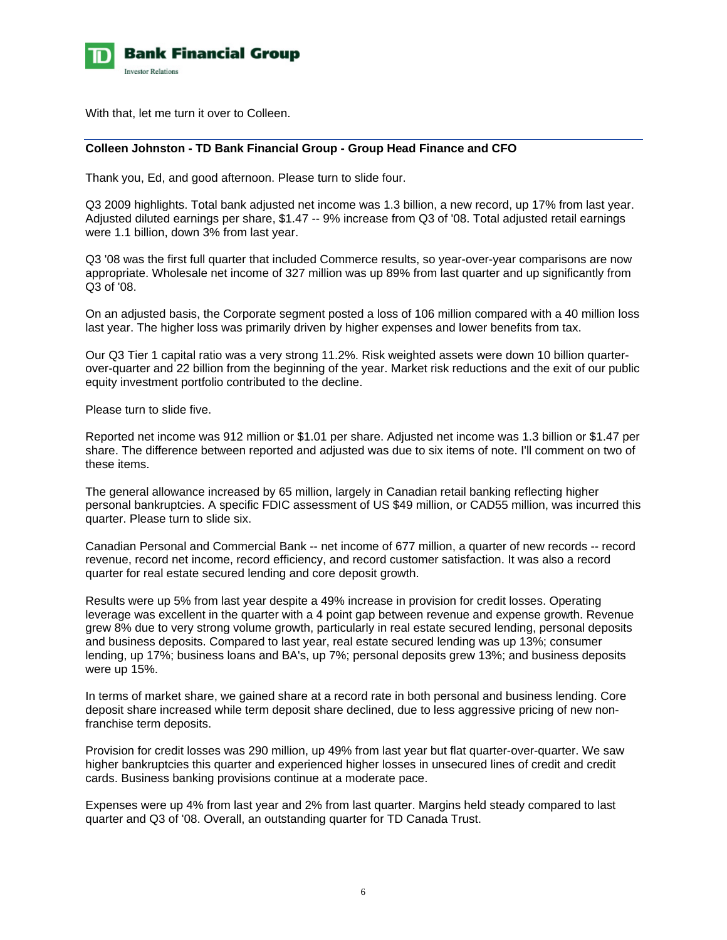

With that, let me turn it over to Colleen.

### **Colleen Johnston - TD Bank Financial Group - Group Head Finance and CFO**

Thank you, Ed, and good afternoon. Please turn to slide four.

Q3 2009 highlights. Total bank adjusted net income was 1.3 billion, a new record, up 17% from last year. Adjusted diluted earnings per share, \$1.47 -- 9% increase from Q3 of '08. Total adjusted retail earnings were 1.1 billion, down 3% from last year.

Q3 '08 was the first full quarter that included Commerce results, so year-over-year comparisons are now appropriate. Wholesale net income of 327 million was up 89% from last quarter and up significantly from Q3 of '08.

On an adjusted basis, the Corporate segment posted a loss of 106 million compared with a 40 million loss last year. The higher loss was primarily driven by higher expenses and lower benefits from tax.

Our Q3 Tier 1 capital ratio was a very strong 11.2%. Risk weighted assets were down 10 billion quarterover-quarter and 22 billion from the beginning of the year. Market risk reductions and the exit of our public equity investment portfolio contributed to the decline.

Please turn to slide five.

Reported net income was 912 million or \$1.01 per share. Adjusted net income was 1.3 billion or \$1.47 per share. The difference between reported and adjusted was due to six items of note. I'll comment on two of these items.

The general allowance increased by 65 million, largely in Canadian retail banking reflecting higher personal bankruptcies. A specific FDIC assessment of US \$49 million, or CAD55 million, was incurred this quarter. Please turn to slide six.

Canadian Personal and Commercial Bank -- net income of 677 million, a quarter of new records -- record revenue, record net income, record efficiency, and record customer satisfaction. It was also a record quarter for real estate secured lending and core deposit growth.

Results were up 5% from last year despite a 49% increase in provision for credit losses. Operating leverage was excellent in the quarter with a 4 point gap between revenue and expense growth. Revenue grew 8% due to very strong volume growth, particularly in real estate secured lending, personal deposits and business deposits. Compared to last year, real estate secured lending was up 13%; consumer lending, up 17%; business loans and BA's, up 7%; personal deposits grew 13%; and business deposits were up 15%.

In terms of market share, we gained share at a record rate in both personal and business lending. Core deposit share increased while term deposit share declined, due to less aggressive pricing of new nonfranchise term deposits.

Provision for credit losses was 290 million, up 49% from last year but flat quarter-over-quarter. We saw higher bankruptcies this quarter and experienced higher losses in unsecured lines of credit and credit cards. Business banking provisions continue at a moderate pace.

Expenses were up 4% from last year and 2% from last quarter. Margins held steady compared to last quarter and Q3 of '08. Overall, an outstanding quarter for TD Canada Trust.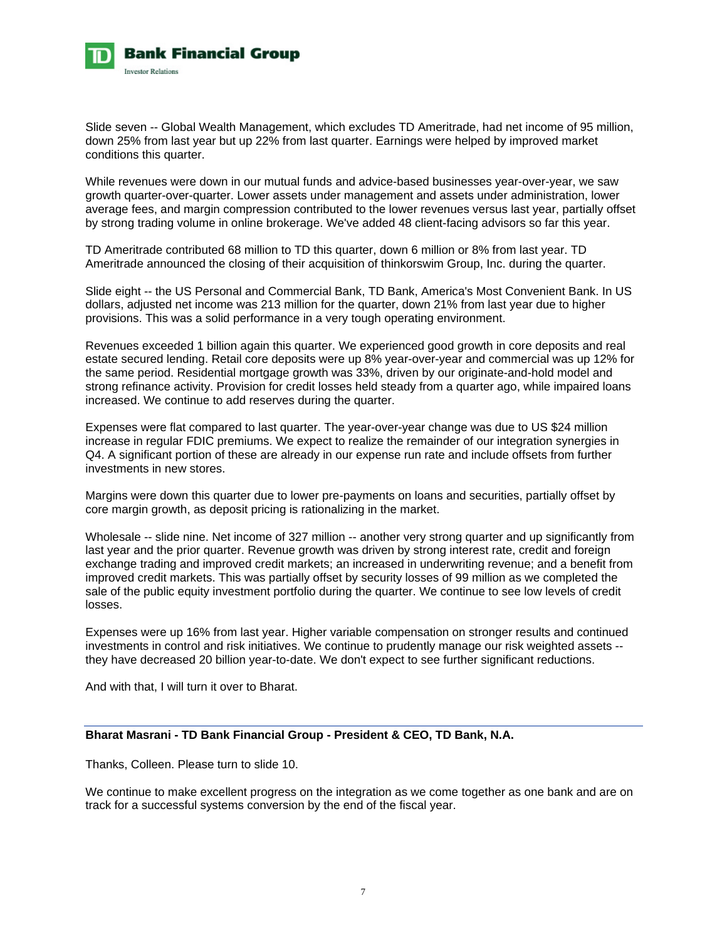

Slide seven -- Global Wealth Management, which excludes TD Ameritrade, had net income of 95 million, down 25% from last year but up 22% from last quarter. Earnings were helped by improved market conditions this quarter.

While revenues were down in our mutual funds and advice-based businesses year-over-year, we saw growth quarter-over-quarter. Lower assets under management and assets under administration, lower average fees, and margin compression contributed to the lower revenues versus last year, partially offset by strong trading volume in online brokerage. We've added 48 client-facing advisors so far this year.

TD Ameritrade contributed 68 million to TD this quarter, down 6 million or 8% from last year. TD Ameritrade announced the closing of their acquisition of thinkorswim Group, Inc. during the quarter.

Slide eight -- the US Personal and Commercial Bank, TD Bank, America's Most Convenient Bank. In US dollars, adjusted net income was 213 million for the quarter, down 21% from last year due to higher provisions. This was a solid performance in a very tough operating environment.

Revenues exceeded 1 billion again this quarter. We experienced good growth in core deposits and real estate secured lending. Retail core deposits were up 8% year-over-year and commercial was up 12% for the same period. Residential mortgage growth was 33%, driven by our originate-and-hold model and strong refinance activity. Provision for credit losses held steady from a quarter ago, while impaired loans increased. We continue to add reserves during the quarter.

Expenses were flat compared to last quarter. The year-over-year change was due to US \$24 million increase in regular FDIC premiums. We expect to realize the remainder of our integration synergies in Q4. A significant portion of these are already in our expense run rate and include offsets from further investments in new stores.

Margins were down this quarter due to lower pre-payments on loans and securities, partially offset by core margin growth, as deposit pricing is rationalizing in the market.

Wholesale -- slide nine. Net income of 327 million -- another very strong quarter and up significantly from last year and the prior quarter. Revenue growth was driven by strong interest rate, credit and foreign exchange trading and improved credit markets; an increased in underwriting revenue; and a benefit from improved credit markets. This was partially offset by security losses of 99 million as we completed the sale of the public equity investment portfolio during the quarter. We continue to see low levels of credit losses.

Expenses were up 16% from last year. Higher variable compensation on stronger results and continued investments in control and risk initiatives. We continue to prudently manage our risk weighted assets - they have decreased 20 billion year-to-date. We don't expect to see further significant reductions.

And with that, I will turn it over to Bharat.

## **Bharat Masrani - TD Bank Financial Group - President & CEO, TD Bank, N.A.**

Thanks, Colleen. Please turn to slide 10.

We continue to make excellent progress on the integration as we come together as one bank and are on track for a successful systems conversion by the end of the fiscal year.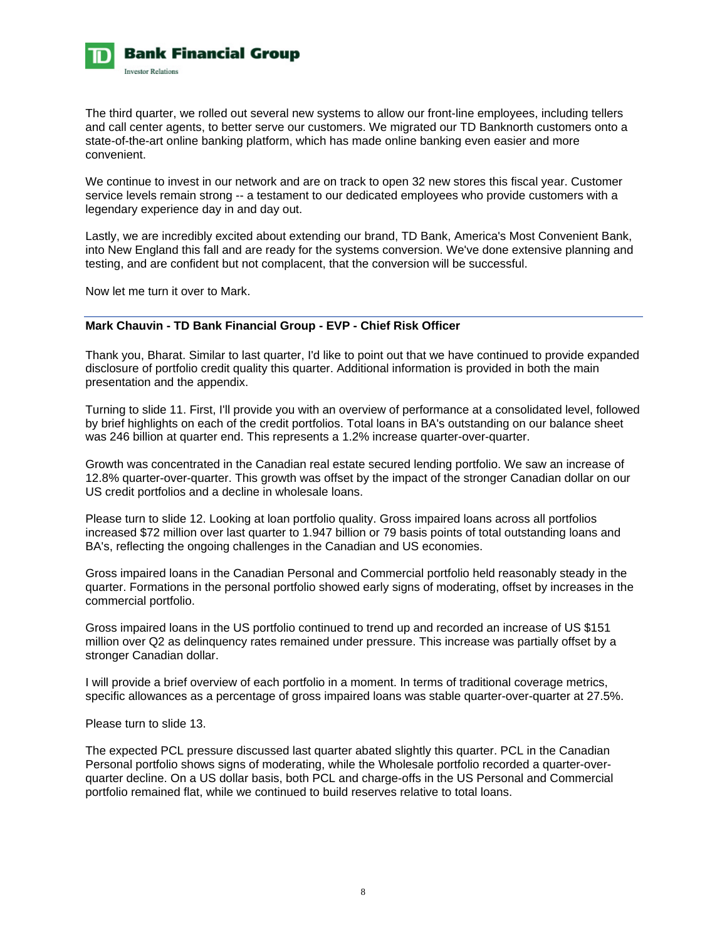

The third quarter, we rolled out several new systems to allow our front-line employees, including tellers and call center agents, to better serve our customers. We migrated our TD Banknorth customers onto a state-of-the-art online banking platform, which has made online banking even easier and more convenient.

We continue to invest in our network and are on track to open 32 new stores this fiscal year. Customer service levels remain strong -- a testament to our dedicated employees who provide customers with a legendary experience day in and day out.

Lastly, we are incredibly excited about extending our brand, TD Bank, America's Most Convenient Bank, into New England this fall and are ready for the systems conversion. We've done extensive planning and testing, and are confident but not complacent, that the conversion will be successful.

Now let me turn it over to Mark.

## **Mark Chauvin - TD Bank Financial Group - EVP - Chief Risk Officer**

Thank you, Bharat. Similar to last quarter, I'd like to point out that we have continued to provide expanded disclosure of portfolio credit quality this quarter. Additional information is provided in both the main presentation and the appendix.

Turning to slide 11. First, I'll provide you with an overview of performance at a consolidated level, followed by brief highlights on each of the credit portfolios. Total loans in BA's outstanding on our balance sheet was 246 billion at quarter end. This represents a 1.2% increase quarter-over-quarter.

Growth was concentrated in the Canadian real estate secured lending portfolio. We saw an increase of 12.8% quarter-over-quarter. This growth was offset by the impact of the stronger Canadian dollar on our US credit portfolios and a decline in wholesale loans.

Please turn to slide 12. Looking at loan portfolio quality. Gross impaired loans across all portfolios increased \$72 million over last quarter to 1.947 billion or 79 basis points of total outstanding loans and BA's, reflecting the ongoing challenges in the Canadian and US economies.

Gross impaired loans in the Canadian Personal and Commercial portfolio held reasonably steady in the quarter. Formations in the personal portfolio showed early signs of moderating, offset by increases in the commercial portfolio.

Gross impaired loans in the US portfolio continued to trend up and recorded an increase of US \$151 million over Q2 as delinquency rates remained under pressure. This increase was partially offset by a stronger Canadian dollar.

I will provide a brief overview of each portfolio in a moment. In terms of traditional coverage metrics, specific allowances as a percentage of gross impaired loans was stable quarter-over-quarter at 27.5%.

Please turn to slide 13.

The expected PCL pressure discussed last quarter abated slightly this quarter. PCL in the Canadian Personal portfolio shows signs of moderating, while the Wholesale portfolio recorded a quarter-overquarter decline. On a US dollar basis, both PCL and charge-offs in the US Personal and Commercial portfolio remained flat, while we continued to build reserves relative to total loans.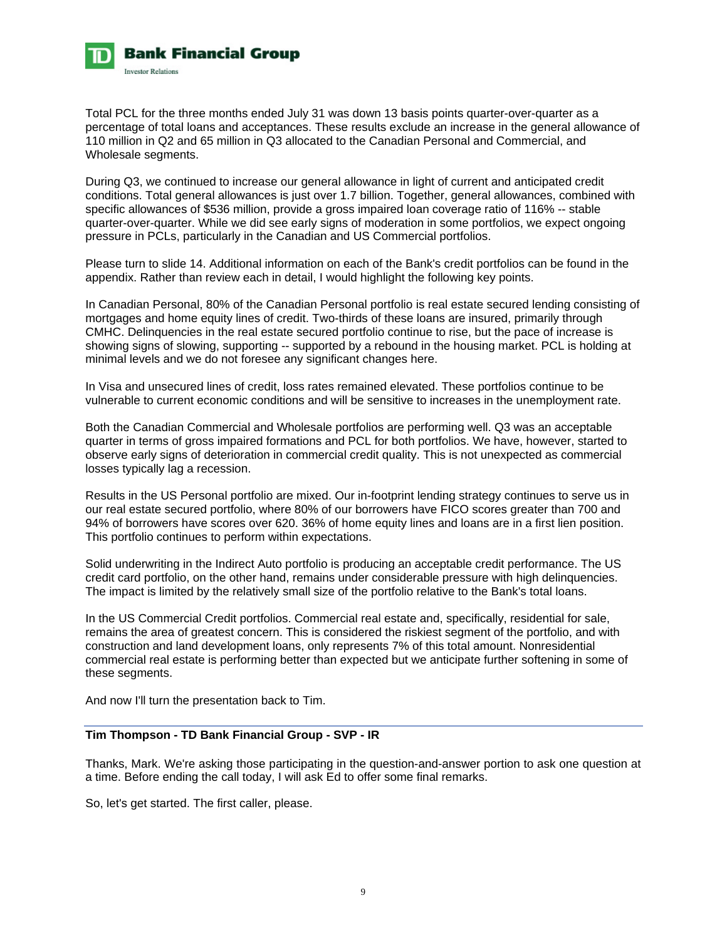

Total PCL for the three months ended July 31 was down 13 basis points quarter-over-quarter as a percentage of total loans and acceptances. These results exclude an increase in the general allowance of 110 million in Q2 and 65 million in Q3 allocated to the Canadian Personal and Commercial, and Wholesale segments.

During Q3, we continued to increase our general allowance in light of current and anticipated credit conditions. Total general allowances is just over 1.7 billion. Together, general allowances, combined with specific allowances of \$536 million, provide a gross impaired loan coverage ratio of 116% -- stable quarter-over-quarter. While we did see early signs of moderation in some portfolios, we expect ongoing pressure in PCLs, particularly in the Canadian and US Commercial portfolios.

Please turn to slide 14. Additional information on each of the Bank's credit portfolios can be found in the appendix. Rather than review each in detail, I would highlight the following key points.

In Canadian Personal, 80% of the Canadian Personal portfolio is real estate secured lending consisting of mortgages and home equity lines of credit. Two-thirds of these loans are insured, primarily through CMHC. Delinquencies in the real estate secured portfolio continue to rise, but the pace of increase is showing signs of slowing, supporting -- supported by a rebound in the housing market. PCL is holding at minimal levels and we do not foresee any significant changes here.

In Visa and unsecured lines of credit, loss rates remained elevated. These portfolios continue to be vulnerable to current economic conditions and will be sensitive to increases in the unemployment rate.

Both the Canadian Commercial and Wholesale portfolios are performing well. Q3 was an acceptable quarter in terms of gross impaired formations and PCL for both portfolios. We have, however, started to observe early signs of deterioration in commercial credit quality. This is not unexpected as commercial losses typically lag a recession.

Results in the US Personal portfolio are mixed. Our in-footprint lending strategy continues to serve us in our real estate secured portfolio, where 80% of our borrowers have FICO scores greater than 700 and 94% of borrowers have scores over 620. 36% of home equity lines and loans are in a first lien position. This portfolio continues to perform within expectations.

Solid underwriting in the Indirect Auto portfolio is producing an acceptable credit performance. The US credit card portfolio, on the other hand, remains under considerable pressure with high delinquencies. The impact is limited by the relatively small size of the portfolio relative to the Bank's total loans.

In the US Commercial Credit portfolios. Commercial real estate and, specifically, residential for sale, remains the area of greatest concern. This is considered the riskiest segment of the portfolio, and with construction and land development loans, only represents 7% of this total amount. Nonresidential commercial real estate is performing better than expected but we anticipate further softening in some of these segments.

And now I'll turn the presentation back to Tim.

## **Tim Thompson - TD Bank Financial Group - SVP - IR**

Thanks, Mark. We're asking those participating in the question-and-answer portion to ask one question at a time. Before ending the call today, I will ask Ed to offer some final remarks.

So, let's get started. The first caller, please.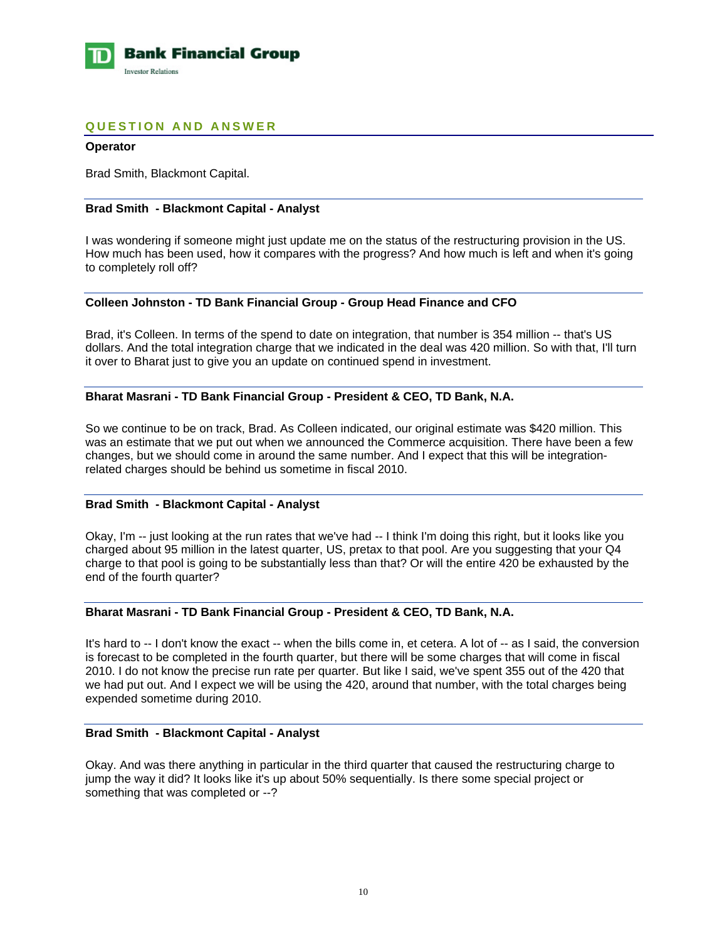

## **QUESTION AND ANSWER**

### **Operator**

Brad Smith, Blackmont Capital.

### **Brad Smith - Blackmont Capital - Analyst**

I was wondering if someone might just update me on the status of the restructuring provision in the US. How much has been used, how it compares with the progress? And how much is left and when it's going to completely roll off?

## **Colleen Johnston - TD Bank Financial Group - Group Head Finance and CFO**

Brad, it's Colleen. In terms of the spend to date on integration, that number is 354 million -- that's US dollars. And the total integration charge that we indicated in the deal was 420 million. So with that, I'll turn it over to Bharat just to give you an update on continued spend in investment.

### **Bharat Masrani - TD Bank Financial Group - President & CEO, TD Bank, N.A.**

So we continue to be on track, Brad. As Colleen indicated, our original estimate was \$420 million. This was an estimate that we put out when we announced the Commerce acquisition. There have been a few changes, but we should come in around the same number. And I expect that this will be integrationrelated charges should be behind us sometime in fiscal 2010.

### **Brad Smith - Blackmont Capital - Analyst**

Okay, I'm -- just looking at the run rates that we've had -- I think I'm doing this right, but it looks like you charged about 95 million in the latest quarter, US, pretax to that pool. Are you suggesting that your Q4 charge to that pool is going to be substantially less than that? Or will the entire 420 be exhausted by the end of the fourth quarter?

### **Bharat Masrani - TD Bank Financial Group - President & CEO, TD Bank, N.A.**

It's hard to -- I don't know the exact -- when the bills come in, et cetera. A lot of -- as I said, the conversion is forecast to be completed in the fourth quarter, but there will be some charges that will come in fiscal 2010. I do not know the precise run rate per quarter. But like I said, we've spent 355 out of the 420 that we had put out. And I expect we will be using the 420, around that number, with the total charges being expended sometime during 2010.

### **Brad Smith - Blackmont Capital - Analyst**

Okay. And was there anything in particular in the third quarter that caused the restructuring charge to jump the way it did? It looks like it's up about 50% sequentially. Is there some special project or something that was completed or --?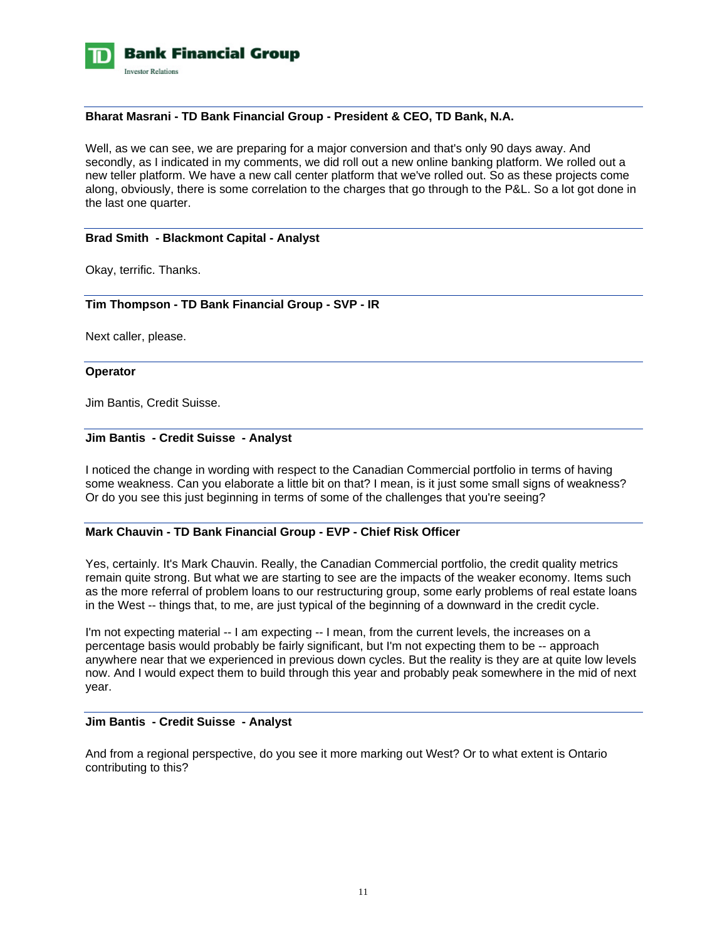

### **Bharat Masrani - TD Bank Financial Group - President & CEO, TD Bank, N.A.**

Well, as we can see, we are preparing for a major conversion and that's only 90 days away. And secondly, as I indicated in my comments, we did roll out a new online banking platform. We rolled out a new teller platform. We have a new call center platform that we've rolled out. So as these projects come along, obviously, there is some correlation to the charges that go through to the P&L. So a lot got done in the last one quarter.

### **Brad Smith - Blackmont Capital - Analyst**

Okay, terrific. Thanks.

### **Tim Thompson - TD Bank Financial Group - SVP - IR**

Next caller, please.

### **Operator**

Jim Bantis, Credit Suisse.

### **Jim Bantis - Credit Suisse - Analyst**

I noticed the change in wording with respect to the Canadian Commercial portfolio in terms of having some weakness. Can you elaborate a little bit on that? I mean, is it just some small signs of weakness? Or do you see this just beginning in terms of some of the challenges that you're seeing?

## **Mark Chauvin - TD Bank Financial Group - EVP - Chief Risk Officer**

Yes, certainly. It's Mark Chauvin. Really, the Canadian Commercial portfolio, the credit quality metrics remain quite strong. But what we are starting to see are the impacts of the weaker economy. Items such as the more referral of problem loans to our restructuring group, some early problems of real estate loans in the West -- things that, to me, are just typical of the beginning of a downward in the credit cycle.

I'm not expecting material -- I am expecting -- I mean, from the current levels, the increases on a percentage basis would probably be fairly significant, but I'm not expecting them to be -- approach anywhere near that we experienced in previous down cycles. But the reality is they are at quite low levels now. And I would expect them to build through this year and probably peak somewhere in the mid of next year.

### **Jim Bantis - Credit Suisse - Analyst**

And from a regional perspective, do you see it more marking out West? Or to what extent is Ontario contributing to this?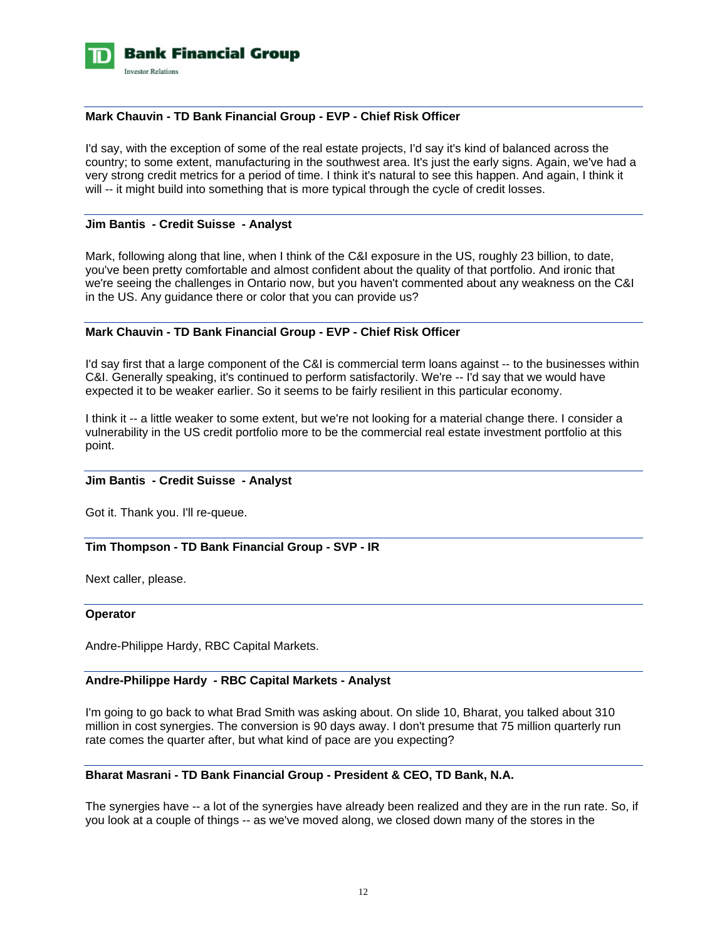

### **Mark Chauvin - TD Bank Financial Group - EVP - Chief Risk Officer**

I'd say, with the exception of some of the real estate projects, I'd say it's kind of balanced across the country; to some extent, manufacturing in the southwest area. It's just the early signs. Again, we've had a very strong credit metrics for a period of time. I think it's natural to see this happen. And again, I think it will -- it might build into something that is more typical through the cycle of credit losses.

### **Jim Bantis - Credit Suisse - Analyst**

Mark, following along that line, when I think of the C&I exposure in the US, roughly 23 billion, to date, you've been pretty comfortable and almost confident about the quality of that portfolio. And ironic that we're seeing the challenges in Ontario now, but you haven't commented about any weakness on the C&I in the US. Any guidance there or color that you can provide us?

## **Mark Chauvin - TD Bank Financial Group - EVP - Chief Risk Officer**

I'd say first that a large component of the C&I is commercial term loans against -- to the businesses within C&I. Generally speaking, it's continued to perform satisfactorily. We're -- I'd say that we would have expected it to be weaker earlier. So it seems to be fairly resilient in this particular economy.

I think it -- a little weaker to some extent, but we're not looking for a material change there. I consider a vulnerability in the US credit portfolio more to be the commercial real estate investment portfolio at this point.

### **Jim Bantis - Credit Suisse - Analyst**

Got it. Thank you. I'll re-queue.

### **Tim Thompson - TD Bank Financial Group - SVP - IR**

Next caller, please.

#### **Operator**

Andre-Philippe Hardy, RBC Capital Markets.

## **Andre-Philippe Hardy - RBC Capital Markets - Analyst**

I'm going to go back to what Brad Smith was asking about. On slide 10, Bharat, you talked about 310 million in cost synergies. The conversion is 90 days away. I don't presume that 75 million quarterly run rate comes the quarter after, but what kind of pace are you expecting?

### **Bharat Masrani - TD Bank Financial Group - President & CEO, TD Bank, N.A.**

The synergies have -- a lot of the synergies have already been realized and they are in the run rate. So, if you look at a couple of things -- as we've moved along, we closed down many of the stores in the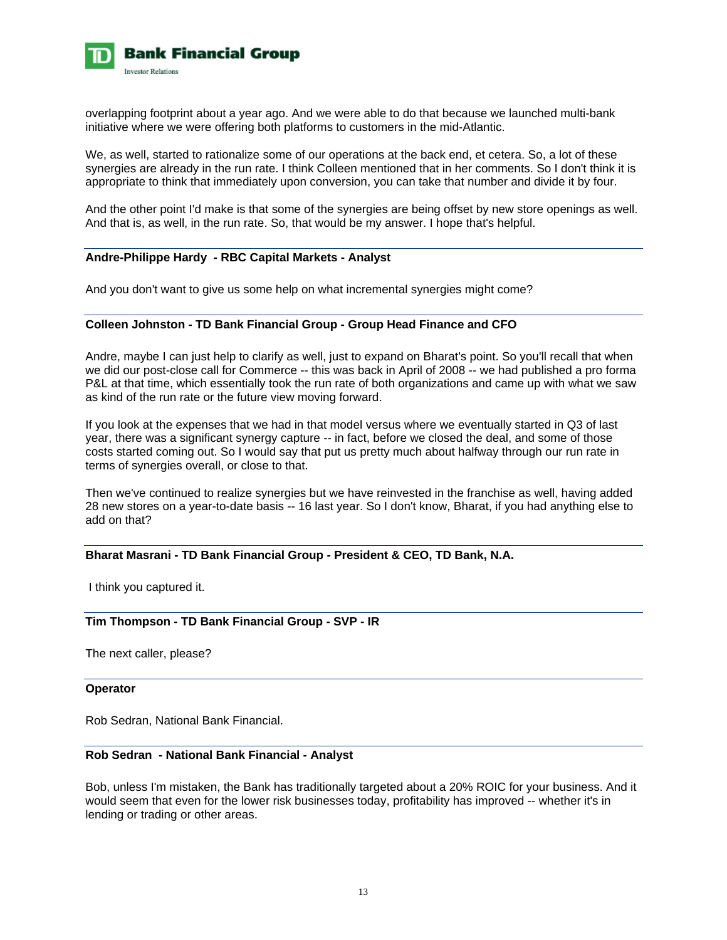

overlapping footprint about a year ago. And we were able to do that because we launched multi-bank initiative where we were offering both platforms to customers in the mid-Atlantic.

We, as well, started to rationalize some of our operations at the back end, et cetera. So, a lot of these synergies are already in the run rate. I think Colleen mentioned that in her comments. So I don't think it is appropriate to think that immediately upon conversion, you can take that number and divide it by four.

And the other point I'd make is that some of the synergies are being offset by new store openings as well. And that is, as well, in the run rate. So, that would be my answer. I hope that's helpful.

## **Andre-Philippe Hardy - RBC Capital Markets - Analyst**

And you don't want to give us some help on what incremental synergies might come?

### **Colleen Johnston - TD Bank Financial Group - Group Head Finance and CFO**

Andre, maybe I can just help to clarify as well, just to expand on Bharat's point. So you'll recall that when we did our post-close call for Commerce -- this was back in April of 2008 -- we had published a pro forma P&L at that time, which essentially took the run rate of both organizations and came up with what we saw as kind of the run rate or the future view moving forward.

If you look at the expenses that we had in that model versus where we eventually started in Q3 of last year, there was a significant synergy capture -- in fact, before we closed the deal, and some of those costs started coming out. So I would say that put us pretty much about halfway through our run rate in terms of synergies overall, or close to that.

Then we've continued to realize synergies but we have reinvested in the franchise as well, having added 28 new stores on a year-to-date basis -- 16 last year. So I don't know, Bharat, if you had anything else to add on that?

### **Bharat Masrani - TD Bank Financial Group - President & CEO, TD Bank, N.A.**

I think you captured it.

## **Tim Thompson - TD Bank Financial Group - SVP - IR**

The next caller, please?

#### **Operator**

Rob Sedran, National Bank Financial.

### **Rob Sedran - National Bank Financial - Analyst**

Bob, unless I'm mistaken, the Bank has traditionally targeted about a 20% ROIC for your business. And it would seem that even for the lower risk businesses today, profitability has improved -- whether it's in lending or trading or other areas.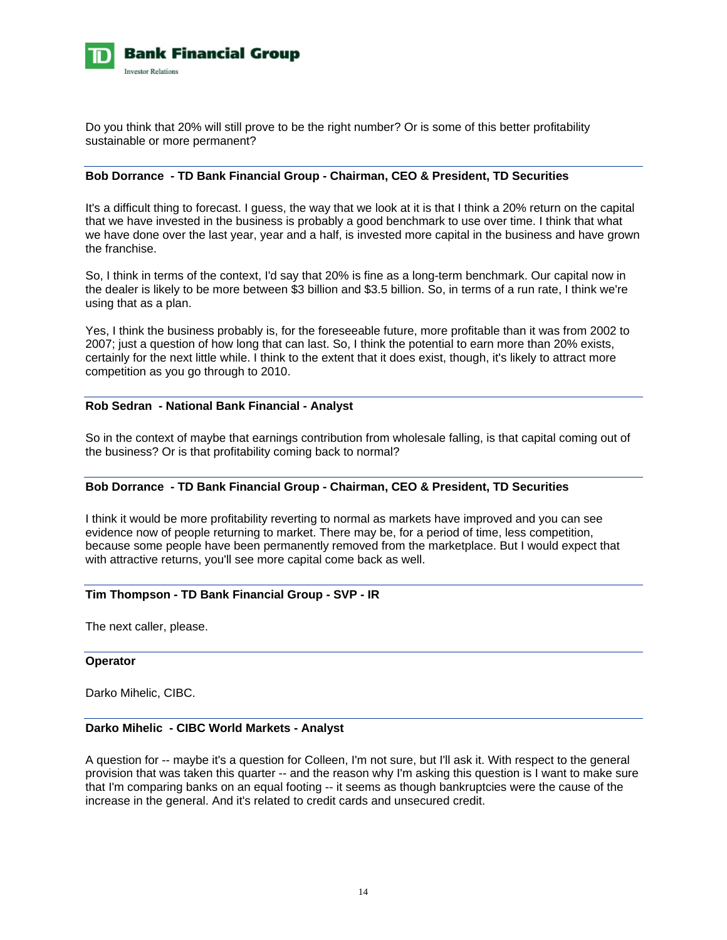

Do you think that 20% will still prove to be the right number? Or is some of this better profitability sustainable or more permanent?

## **Bob Dorrance - TD Bank Financial Group - Chairman, CEO & President, TD Securities**

It's a difficult thing to forecast. I guess, the way that we look at it is that I think a 20% return on the capital that we have invested in the business is probably a good benchmark to use over time. I think that what we have done over the last year, year and a half, is invested more capital in the business and have grown the franchise.

So, I think in terms of the context, I'd say that 20% is fine as a long-term benchmark. Our capital now in the dealer is likely to be more between \$3 billion and \$3.5 billion. So, in terms of a run rate, I think we're using that as a plan.

Yes, I think the business probably is, for the foreseeable future, more profitable than it was from 2002 to 2007; just a question of how long that can last. So, I think the potential to earn more than 20% exists, certainly for the next little while. I think to the extent that it does exist, though, it's likely to attract more competition as you go through to 2010.

### **Rob Sedran - National Bank Financial - Analyst**

So in the context of maybe that earnings contribution from wholesale falling, is that capital coming out of the business? Or is that profitability coming back to normal?

## **Bob Dorrance - TD Bank Financial Group - Chairman, CEO & President, TD Securities**

I think it would be more profitability reverting to normal as markets have improved and you can see evidence now of people returning to market. There may be, for a period of time, less competition, because some people have been permanently removed from the marketplace. But I would expect that with attractive returns, you'll see more capital come back as well.

## **Tim Thompson - TD Bank Financial Group - SVP - IR**

The next caller, please.

### **Operator**

Darko Mihelic, CIBC.

### **Darko Mihelic - CIBC World Markets - Analyst**

A question for -- maybe it's a question for Colleen, I'm not sure, but I'll ask it. With respect to the general provision that was taken this quarter -- and the reason why I'm asking this question is I want to make sure that I'm comparing banks on an equal footing -- it seems as though bankruptcies were the cause of the increase in the general. And it's related to credit cards and unsecured credit.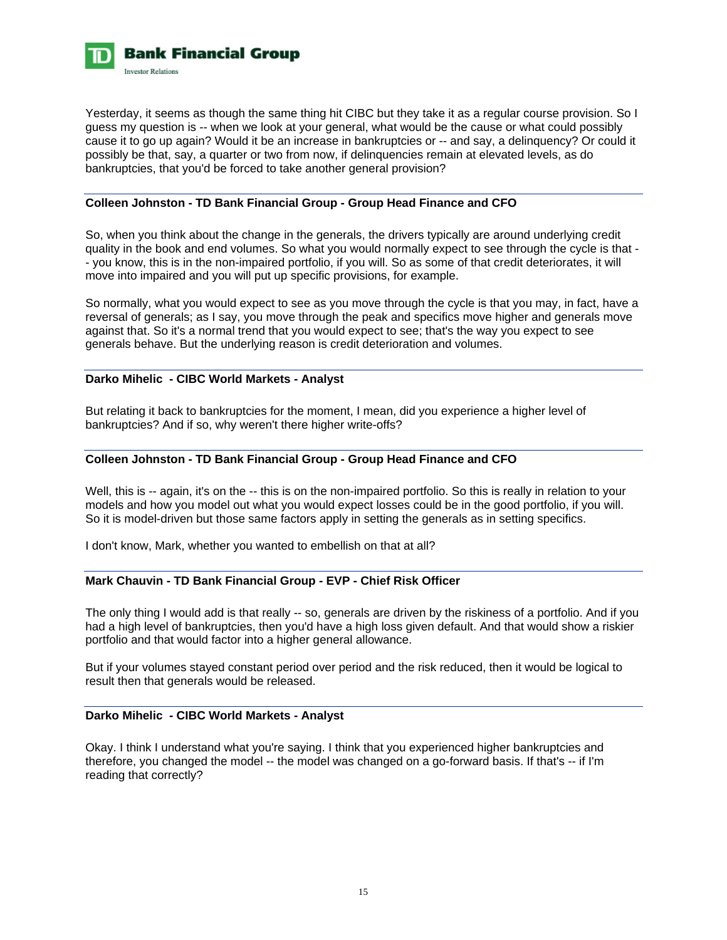

Yesterday, it seems as though the same thing hit CIBC but they take it as a regular course provision. So I guess my question is -- when we look at your general, what would be the cause or what could possibly cause it to go up again? Would it be an increase in bankruptcies or -- and say, a delinquency? Or could it possibly be that, say, a quarter or two from now, if delinquencies remain at elevated levels, as do bankruptcies, that you'd be forced to take another general provision?

## **Colleen Johnston - TD Bank Financial Group - Group Head Finance and CFO**

So, when you think about the change in the generals, the drivers typically are around underlying credit quality in the book and end volumes. So what you would normally expect to see through the cycle is that - - you know, this is in the non-impaired portfolio, if you will. So as some of that credit deteriorates, it will move into impaired and you will put up specific provisions, for example.

So normally, what you would expect to see as you move through the cycle is that you may, in fact, have a reversal of generals; as I say, you move through the peak and specifics move higher and generals move against that. So it's a normal trend that you would expect to see; that's the way you expect to see generals behave. But the underlying reason is credit deterioration and volumes.

## **Darko Mihelic - CIBC World Markets - Analyst**

But relating it back to bankruptcies for the moment, I mean, did you experience a higher level of bankruptcies? And if so, why weren't there higher write-offs?

## **Colleen Johnston - TD Bank Financial Group - Group Head Finance and CFO**

Well, this is -- again, it's on the -- this is on the non-impaired portfolio. So this is really in relation to your models and how you model out what you would expect losses could be in the good portfolio, if you will. So it is model-driven but those same factors apply in setting the generals as in setting specifics.

I don't know, Mark, whether you wanted to embellish on that at all?

## **Mark Chauvin - TD Bank Financial Group - EVP - Chief Risk Officer**

The only thing I would add is that really -- so, generals are driven by the riskiness of a portfolio. And if you had a high level of bankruptcies, then you'd have a high loss given default. And that would show a riskier portfolio and that would factor into a higher general allowance.

But if your volumes stayed constant period over period and the risk reduced, then it would be logical to result then that generals would be released.

## **Darko Mihelic - CIBC World Markets - Analyst**

Okay. I think I understand what you're saying. I think that you experienced higher bankruptcies and therefore, you changed the model -- the model was changed on a go-forward basis. If that's -- if I'm reading that correctly?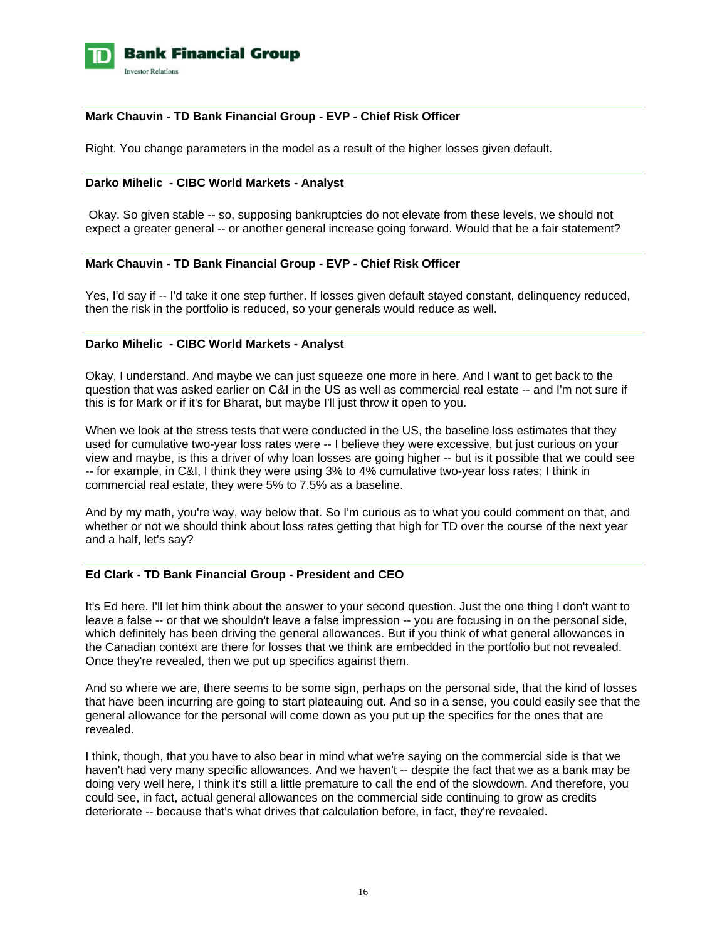

## **Mark Chauvin - TD Bank Financial Group - EVP - Chief Risk Officer**

Right. You change parameters in the model as a result of the higher losses given default.

## **Darko Mihelic - CIBC World Markets - Analyst**

 Okay. So given stable -- so, supposing bankruptcies do not elevate from these levels, we should not expect a greater general -- or another general increase going forward. Would that be a fair statement?

## **Mark Chauvin - TD Bank Financial Group - EVP - Chief Risk Officer**

Yes, I'd say if -- I'd take it one step further. If losses given default stayed constant, delinquency reduced, then the risk in the portfolio is reduced, so your generals would reduce as well.

### **Darko Mihelic - CIBC World Markets - Analyst**

Okay, I understand. And maybe we can just squeeze one more in here. And I want to get back to the question that was asked earlier on C&I in the US as well as commercial real estate -- and I'm not sure if this is for Mark or if it's for Bharat, but maybe I'll just throw it open to you.

When we look at the stress tests that were conducted in the US, the baseline loss estimates that they used for cumulative two-year loss rates were -- I believe they were excessive, but just curious on your view and maybe, is this a driver of why loan losses are going higher -- but is it possible that we could see -- for example, in C&I, I think they were using 3% to 4% cumulative two-year loss rates; I think in commercial real estate, they were 5% to 7.5% as a baseline.

And by my math, you're way, way below that. So I'm curious as to what you could comment on that, and whether or not we should think about loss rates getting that high for TD over the course of the next year and a half, let's say?

## **Ed Clark - TD Bank Financial Group - President and CEO**

It's Ed here. I'll let him think about the answer to your second question. Just the one thing I don't want to leave a false -- or that we shouldn't leave a false impression -- you are focusing in on the personal side, which definitely has been driving the general allowances. But if you think of what general allowances in the Canadian context are there for losses that we think are embedded in the portfolio but not revealed. Once they're revealed, then we put up specifics against them.

And so where we are, there seems to be some sign, perhaps on the personal side, that the kind of losses that have been incurring are going to start plateauing out. And so in a sense, you could easily see that the general allowance for the personal will come down as you put up the specifics for the ones that are revealed.

I think, though, that you have to also bear in mind what we're saying on the commercial side is that we haven't had very many specific allowances. And we haven't -- despite the fact that we as a bank may be doing very well here, I think it's still a little premature to call the end of the slowdown. And therefore, you could see, in fact, actual general allowances on the commercial side continuing to grow as credits deteriorate -- because that's what drives that calculation before, in fact, they're revealed.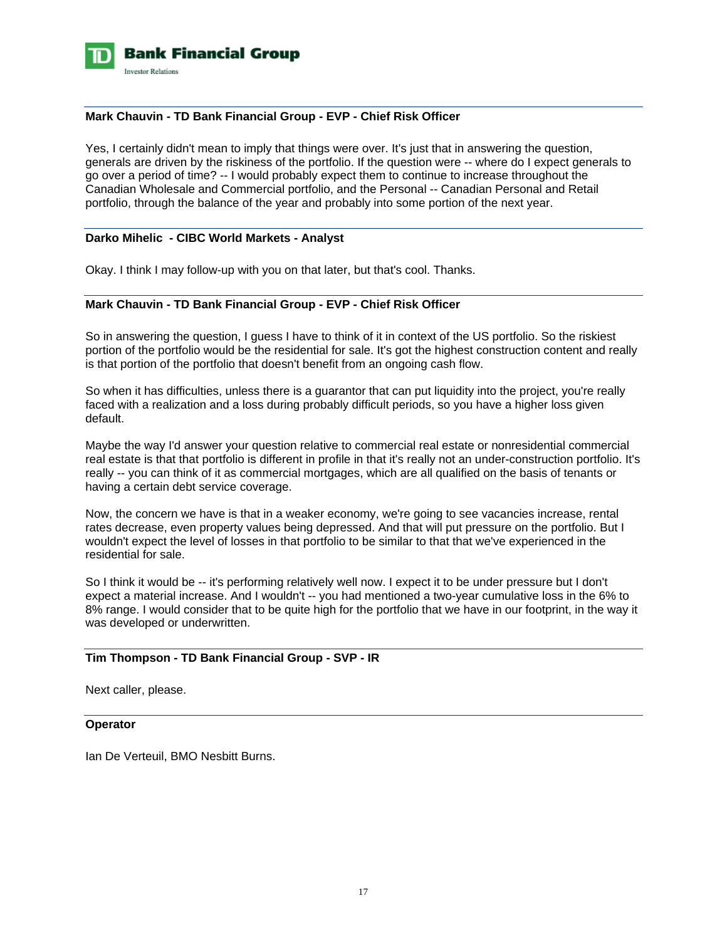

## **Mark Chauvin - TD Bank Financial Group - EVP - Chief Risk Officer**

Yes, I certainly didn't mean to imply that things were over. It's just that in answering the question, generals are driven by the riskiness of the portfolio. If the question were -- where do I expect generals to go over a period of time? -- I would probably expect them to continue to increase throughout the Canadian Wholesale and Commercial portfolio, and the Personal -- Canadian Personal and Retail portfolio, through the balance of the year and probably into some portion of the next year.

### **Darko Mihelic - CIBC World Markets - Analyst**

Okay. I think I may follow-up with you on that later, but that's cool. Thanks.

### **Mark Chauvin - TD Bank Financial Group - EVP - Chief Risk Officer**

So in answering the question, I guess I have to think of it in context of the US portfolio. So the riskiest portion of the portfolio would be the residential for sale. It's got the highest construction content and really is that portion of the portfolio that doesn't benefit from an ongoing cash flow.

So when it has difficulties, unless there is a guarantor that can put liquidity into the project, you're really faced with a realization and a loss during probably difficult periods, so you have a higher loss given default.

Maybe the way I'd answer your question relative to commercial real estate or nonresidential commercial real estate is that that portfolio is different in profile in that it's really not an under-construction portfolio. It's really -- you can think of it as commercial mortgages, which are all qualified on the basis of tenants or having a certain debt service coverage.

Now, the concern we have is that in a weaker economy, we're going to see vacancies increase, rental rates decrease, even property values being depressed. And that will put pressure on the portfolio. But I wouldn't expect the level of losses in that portfolio to be similar to that that we've experienced in the residential for sale.

So I think it would be -- it's performing relatively well now. I expect it to be under pressure but I don't expect a material increase. And I wouldn't -- you had mentioned a two-year cumulative loss in the 6% to 8% range. I would consider that to be quite high for the portfolio that we have in our footprint, in the way it was developed or underwritten.

### **Tim Thompson - TD Bank Financial Group - SVP - IR**

Next caller, please.

### **Operator**

Ian De Verteuil, BMO Nesbitt Burns.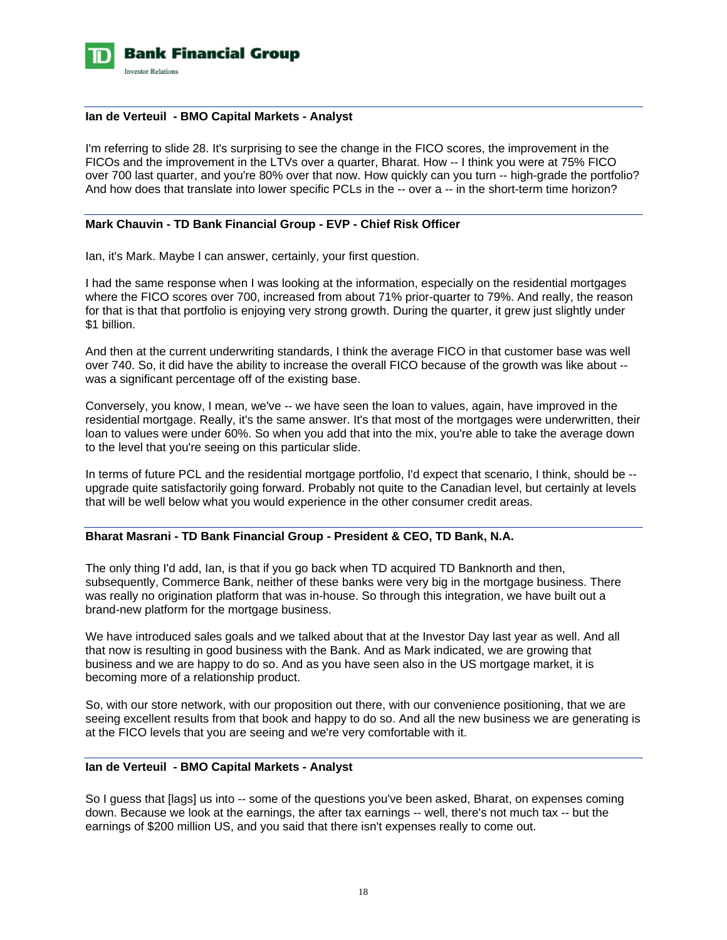

### **Ian de Verteuil - BMO Capital Markets - Analyst**

I'm referring to slide 28. It's surprising to see the change in the FICO scores, the improvement in the FICOs and the improvement in the LTVs over a quarter, Bharat. How -- I think you were at 75% FICO over 700 last quarter, and you're 80% over that now. How quickly can you turn -- high-grade the portfolio? And how does that translate into lower specific PCLs in the -- over a -- in the short-term time horizon?

### **Mark Chauvin - TD Bank Financial Group - EVP - Chief Risk Officer**

Ian, it's Mark. Maybe I can answer, certainly, your first question.

I had the same response when I was looking at the information, especially on the residential mortgages where the FICO scores over 700, increased from about 71% prior-quarter to 79%. And really, the reason for that is that that portfolio is enjoying very strong growth. During the quarter, it grew just slightly under \$1 billion.

And then at the current underwriting standards, I think the average FICO in that customer base was well over 740. So, it did have the ability to increase the overall FICO because of the growth was like about - was a significant percentage off of the existing base.

Conversely, you know, I mean, we've -- we have seen the loan to values, again, have improved in the residential mortgage. Really, it's the same answer. It's that most of the mortgages were underwritten, their loan to values were under 60%. So when you add that into the mix, you're able to take the average down to the level that you're seeing on this particular slide.

In terms of future PCL and the residential mortgage portfolio, I'd expect that scenario, I think, should be - upgrade quite satisfactorily going forward. Probably not quite to the Canadian level, but certainly at levels that will be well below what you would experience in the other consumer credit areas.

### **Bharat Masrani - TD Bank Financial Group - President & CEO, TD Bank, N.A.**

The only thing I'd add, Ian, is that if you go back when TD acquired TD Banknorth and then, subsequently, Commerce Bank, neither of these banks were very big in the mortgage business. There was really no origination platform that was in-house. So through this integration, we have built out a brand-new platform for the mortgage business.

We have introduced sales goals and we talked about that at the Investor Day last year as well. And all that now is resulting in good business with the Bank. And as Mark indicated, we are growing that business and we are happy to do so. And as you have seen also in the US mortgage market, it is becoming more of a relationship product.

So, with our store network, with our proposition out there, with our convenience positioning, that we are seeing excellent results from that book and happy to do so. And all the new business we are generating is at the FICO levels that you are seeing and we're very comfortable with it.

### **Ian de Verteuil - BMO Capital Markets - Analyst**

So I guess that [lags] us into -- some of the questions you've been asked, Bharat, on expenses coming down. Because we look at the earnings, the after tax earnings -- well, there's not much tax -- but the earnings of \$200 million US, and you said that there isn't expenses really to come out.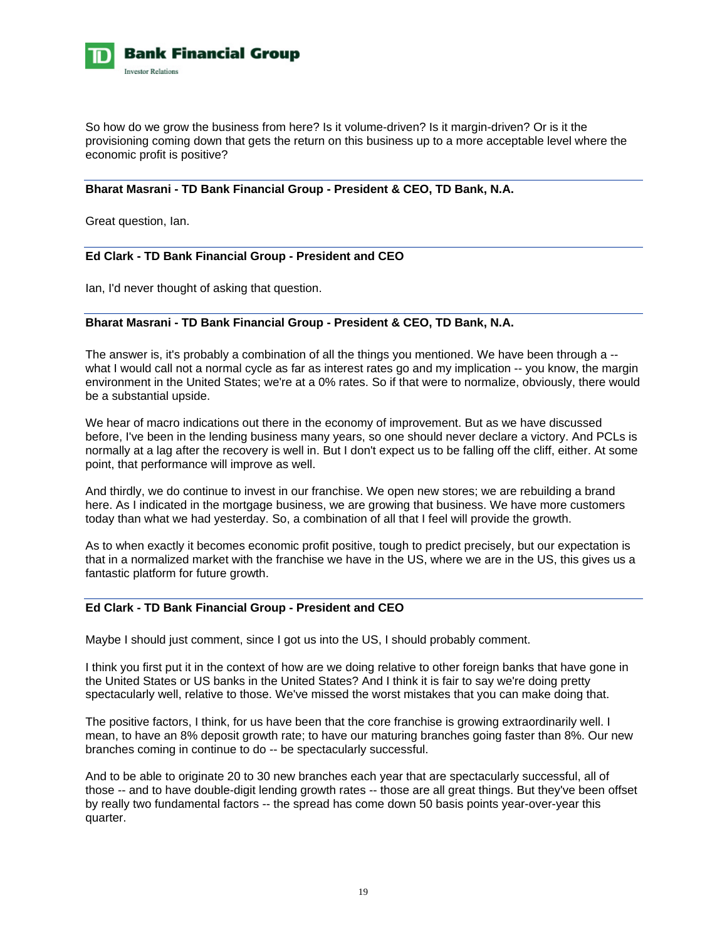

So how do we grow the business from here? Is it volume-driven? Is it margin-driven? Or is it the provisioning coming down that gets the return on this business up to a more acceptable level where the economic profit is positive?

## **Bharat Masrani - TD Bank Financial Group - President & CEO, TD Bank, N.A.**

Great question, Ian.

## **Ed Clark - TD Bank Financial Group - President and CEO**

Ian, I'd never thought of asking that question.

## **Bharat Masrani - TD Bank Financial Group - President & CEO, TD Bank, N.A.**

The answer is, it's probably a combination of all the things you mentioned. We have been through a - what I would call not a normal cycle as far as interest rates go and my implication -- you know, the margin environment in the United States; we're at a 0% rates. So if that were to normalize, obviously, there would be a substantial upside.

We hear of macro indications out there in the economy of improvement. But as we have discussed before, I've been in the lending business many years, so one should never declare a victory. And PCLs is normally at a lag after the recovery is well in. But I don't expect us to be falling off the cliff, either. At some point, that performance will improve as well.

And thirdly, we do continue to invest in our franchise. We open new stores; we are rebuilding a brand here. As I indicated in the mortgage business, we are growing that business. We have more customers today than what we had yesterday. So, a combination of all that I feel will provide the growth.

As to when exactly it becomes economic profit positive, tough to predict precisely, but our expectation is that in a normalized market with the franchise we have in the US, where we are in the US, this gives us a fantastic platform for future growth.

## **Ed Clark - TD Bank Financial Group - President and CEO**

Maybe I should just comment, since I got us into the US, I should probably comment.

I think you first put it in the context of how are we doing relative to other foreign banks that have gone in the United States or US banks in the United States? And I think it is fair to say we're doing pretty spectacularly well, relative to those. We've missed the worst mistakes that you can make doing that.

The positive factors, I think, for us have been that the core franchise is growing extraordinarily well. I mean, to have an 8% deposit growth rate; to have our maturing branches going faster than 8%. Our new branches coming in continue to do -- be spectacularly successful.

And to be able to originate 20 to 30 new branches each year that are spectacularly successful, all of those -- and to have double-digit lending growth rates -- those are all great things. But they've been offset by really two fundamental factors -- the spread has come down 50 basis points year-over-year this quarter.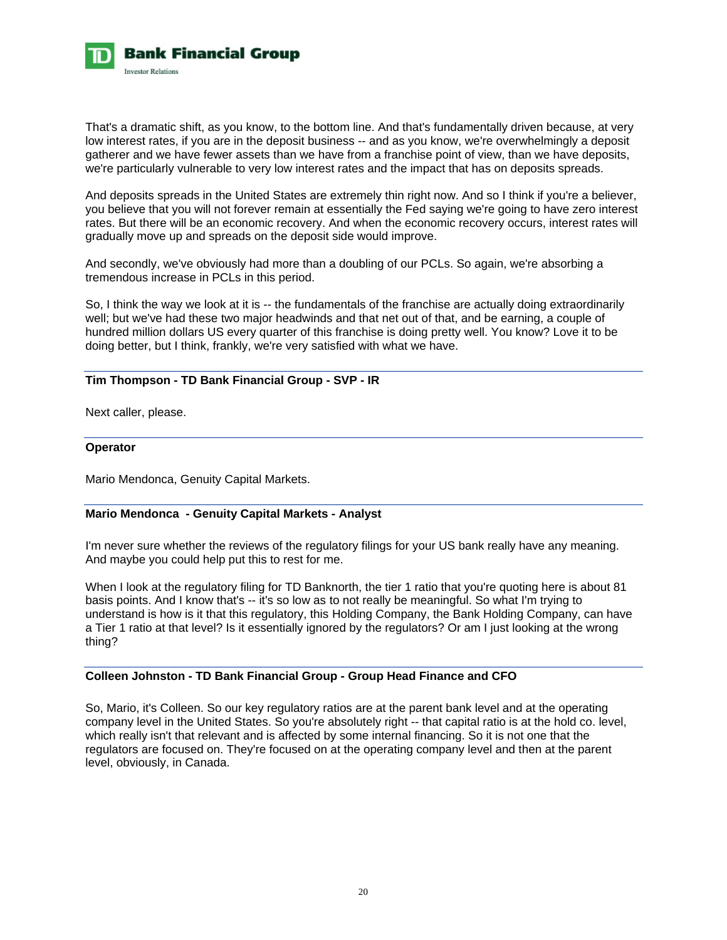

That's a dramatic shift, as you know, to the bottom line. And that's fundamentally driven because, at very low interest rates, if you are in the deposit business -- and as you know, we're overwhelmingly a deposit gatherer and we have fewer assets than we have from a franchise point of view, than we have deposits, we're particularly vulnerable to very low interest rates and the impact that has on deposits spreads.

And deposits spreads in the United States are extremely thin right now. And so I think if you're a believer, you believe that you will not forever remain at essentially the Fed saying we're going to have zero interest rates. But there will be an economic recovery. And when the economic recovery occurs, interest rates will gradually move up and spreads on the deposit side would improve.

And secondly, we've obviously had more than a doubling of our PCLs. So again, we're absorbing a tremendous increase in PCLs in this period.

So, I think the way we look at it is -- the fundamentals of the franchise are actually doing extraordinarily well; but we've had these two major headwinds and that net out of that, and be earning, a couple of hundred million dollars US every quarter of this franchise is doing pretty well. You know? Love it to be doing better, but I think, frankly, we're very satisfied with what we have.

## **Tim Thompson - TD Bank Financial Group - SVP - IR**

Next caller, please.

### **Operator**

Mario Mendonca, Genuity Capital Markets.

## **Mario Mendonca - Genuity Capital Markets - Analyst**

I'm never sure whether the reviews of the regulatory filings for your US bank really have any meaning. And maybe you could help put this to rest for me.

When I look at the regulatory filing for TD Banknorth, the tier 1 ratio that you're quoting here is about 81 basis points. And I know that's -- it's so low as to not really be meaningful. So what I'm trying to understand is how is it that this regulatory, this Holding Company, the Bank Holding Company, can have a Tier 1 ratio at that level? Is it essentially ignored by the regulators? Or am I just looking at the wrong thing?

## **Colleen Johnston - TD Bank Financial Group - Group Head Finance and CFO**

So, Mario, it's Colleen. So our key regulatory ratios are at the parent bank level and at the operating company level in the United States. So you're absolutely right -- that capital ratio is at the hold co. level, which really isn't that relevant and is affected by some internal financing. So it is not one that the regulators are focused on. They're focused on at the operating company level and then at the parent level, obviously, in Canada.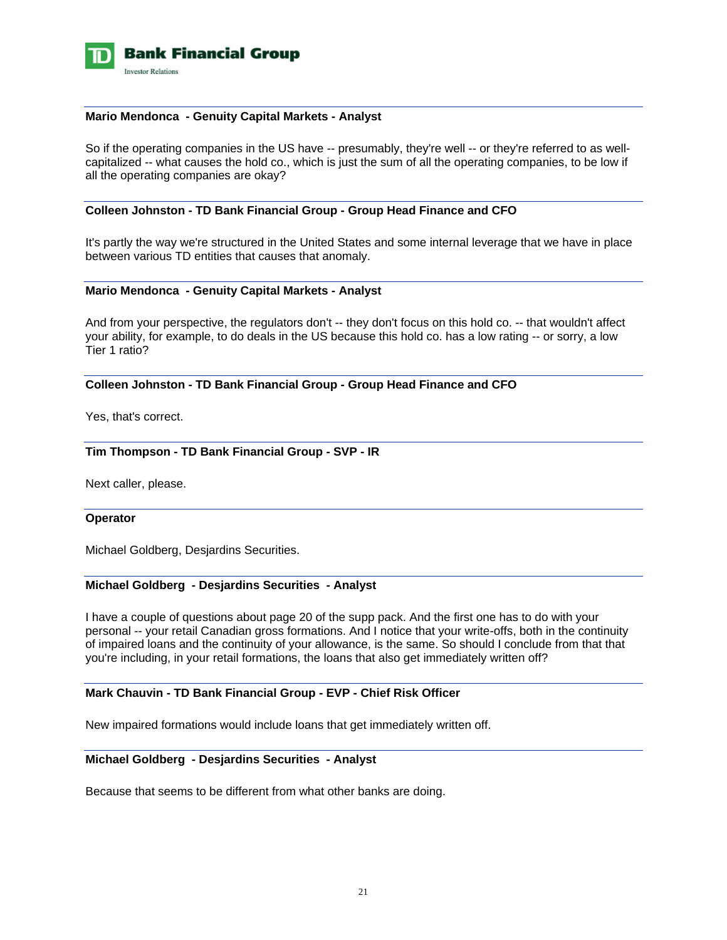

### **Mario Mendonca - Genuity Capital Markets - Analyst**

So if the operating companies in the US have -- presumably, they're well -- or they're referred to as wellcapitalized -- what causes the hold co., which is just the sum of all the operating companies, to be low if all the operating companies are okay?

### **Colleen Johnston - TD Bank Financial Group - Group Head Finance and CFO**

It's partly the way we're structured in the United States and some internal leverage that we have in place between various TD entities that causes that anomaly.

### **Mario Mendonca - Genuity Capital Markets - Analyst**

And from your perspective, the regulators don't -- they don't focus on this hold co. -- that wouldn't affect your ability, for example, to do deals in the US because this hold co. has a low rating -- or sorry, a low Tier 1 ratio?

### **Colleen Johnston - TD Bank Financial Group - Group Head Finance and CFO**

Yes, that's correct.

## **Tim Thompson - TD Bank Financial Group - SVP - IR**

Next caller, please.

### **Operator**

Michael Goldberg, Desjardins Securities.

### **Michael Goldberg - Desjardins Securities - Analyst**

I have a couple of questions about page 20 of the supp pack. And the first one has to do with your personal -- your retail Canadian gross formations. And I notice that your write-offs, both in the continuity of impaired loans and the continuity of your allowance, is the same. So should I conclude from that that you're including, in your retail formations, the loans that also get immediately written off?

## **Mark Chauvin - TD Bank Financial Group - EVP - Chief Risk Officer**

New impaired formations would include loans that get immediately written off.

## **Michael Goldberg - Desjardins Securities - Analyst**

Because that seems to be different from what other banks are doing.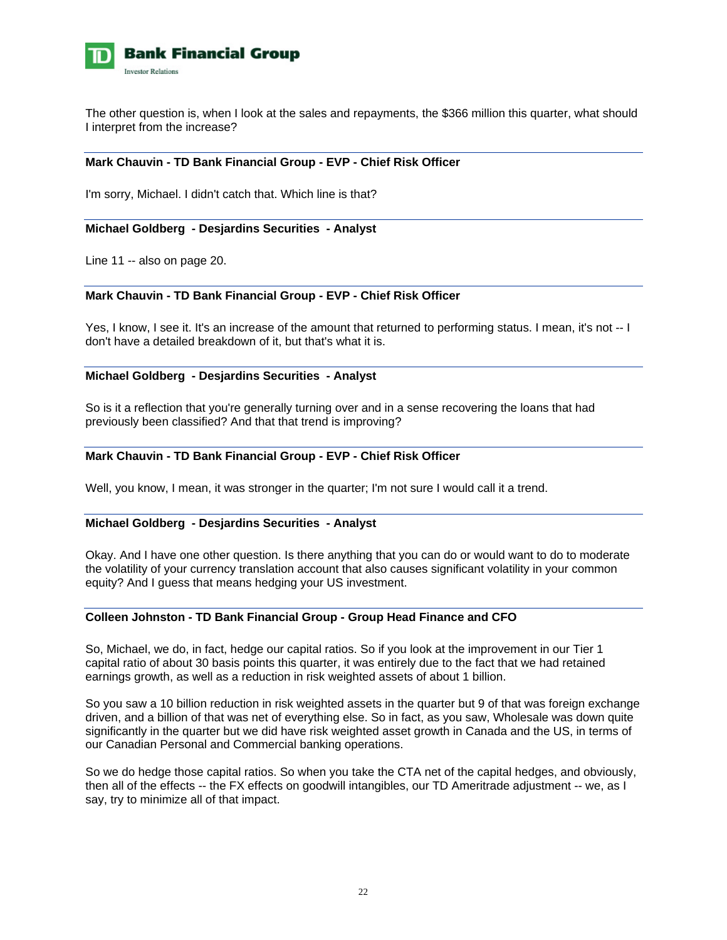

The other question is, when I look at the sales and repayments, the \$366 million this quarter, what should I interpret from the increase?

### **Mark Chauvin - TD Bank Financial Group - EVP - Chief Risk Officer**

I'm sorry, Michael. I didn't catch that. Which line is that?

### **Michael Goldberg - Desjardins Securities - Analyst**

Line 11 -- also on page 20.

## **Mark Chauvin - TD Bank Financial Group - EVP - Chief Risk Officer**

Yes, I know, I see it. It's an increase of the amount that returned to performing status. I mean, it's not -- I don't have a detailed breakdown of it, but that's what it is.

### **Michael Goldberg - Desjardins Securities - Analyst**

So is it a reflection that you're generally turning over and in a sense recovering the loans that had previously been classified? And that that trend is improving?

### **Mark Chauvin - TD Bank Financial Group - EVP - Chief Risk Officer**

Well, you know, I mean, it was stronger in the quarter; I'm not sure I would call it a trend.

### **Michael Goldberg - Desjardins Securities - Analyst**

Okay. And I have one other question. Is there anything that you can do or would want to do to moderate the volatility of your currency translation account that also causes significant volatility in your common equity? And I guess that means hedging your US investment.

### **Colleen Johnston - TD Bank Financial Group - Group Head Finance and CFO**

So, Michael, we do, in fact, hedge our capital ratios. So if you look at the improvement in our Tier 1 capital ratio of about 30 basis points this quarter, it was entirely due to the fact that we had retained earnings growth, as well as a reduction in risk weighted assets of about 1 billion.

So you saw a 10 billion reduction in risk weighted assets in the quarter but 9 of that was foreign exchange driven, and a billion of that was net of everything else. So in fact, as you saw, Wholesale was down quite significantly in the quarter but we did have risk weighted asset growth in Canada and the US, in terms of our Canadian Personal and Commercial banking operations.

So we do hedge those capital ratios. So when you take the CTA net of the capital hedges, and obviously, then all of the effects -- the FX effects on goodwill intangibles, our TD Ameritrade adjustment -- we, as I say, try to minimize all of that impact.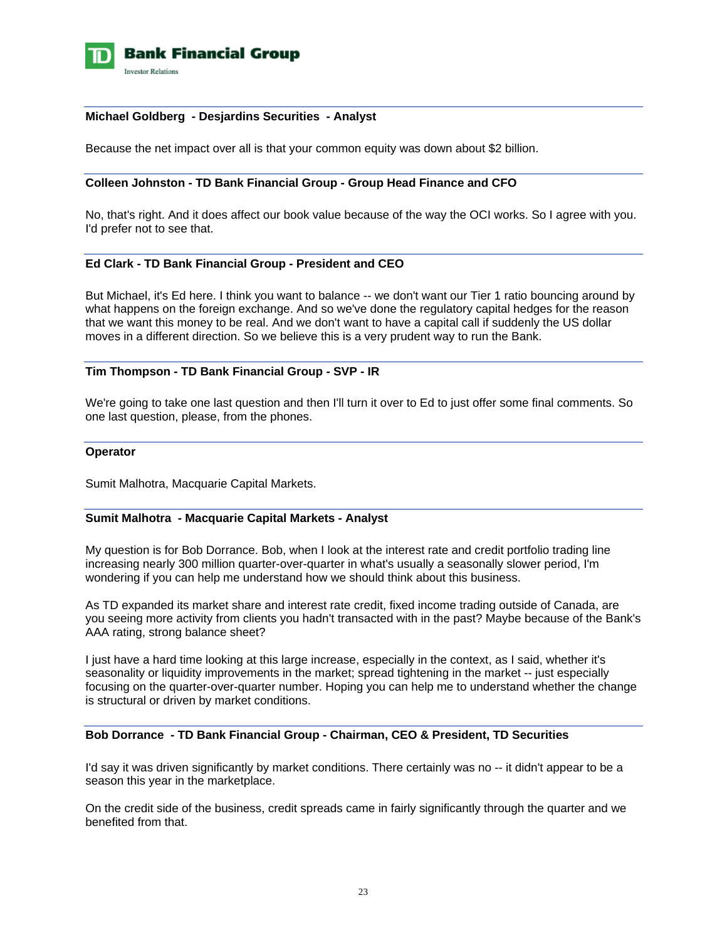

## **Michael Goldberg - Desjardins Securities - Analyst**

Because the net impact over all is that your common equity was down about \$2 billion.

### **Colleen Johnston - TD Bank Financial Group - Group Head Finance and CFO**

No, that's right. And it does affect our book value because of the way the OCI works. So I agree with you. I'd prefer not to see that.

### **Ed Clark - TD Bank Financial Group - President and CEO**

But Michael, it's Ed here. I think you want to balance -- we don't want our Tier 1 ratio bouncing around by what happens on the foreign exchange. And so we've done the regulatory capital hedges for the reason that we want this money to be real. And we don't want to have a capital call if suddenly the US dollar moves in a different direction. So we believe this is a very prudent way to run the Bank.

## **Tim Thompson - TD Bank Financial Group - SVP - IR**

We're going to take one last question and then I'll turn it over to Ed to just offer some final comments. So one last question, please, from the phones.

### **Operator**

Sumit Malhotra, Macquarie Capital Markets.

### **Sumit Malhotra - Macquarie Capital Markets - Analyst**

My question is for Bob Dorrance. Bob, when I look at the interest rate and credit portfolio trading line increasing nearly 300 million quarter-over-quarter in what's usually a seasonally slower period, I'm wondering if you can help me understand how we should think about this business.

As TD expanded its market share and interest rate credit, fixed income trading outside of Canada, are you seeing more activity from clients you hadn't transacted with in the past? Maybe because of the Bank's AAA rating, strong balance sheet?

I just have a hard time looking at this large increase, especially in the context, as I said, whether it's seasonality or liquidity improvements in the market; spread tightening in the market -- just especially focusing on the quarter-over-quarter number. Hoping you can help me to understand whether the change is structural or driven by market conditions.

### **Bob Dorrance - TD Bank Financial Group - Chairman, CEO & President, TD Securities**

I'd say it was driven significantly by market conditions. There certainly was no -- it didn't appear to be a season this year in the marketplace.

On the credit side of the business, credit spreads came in fairly significantly through the quarter and we benefited from that.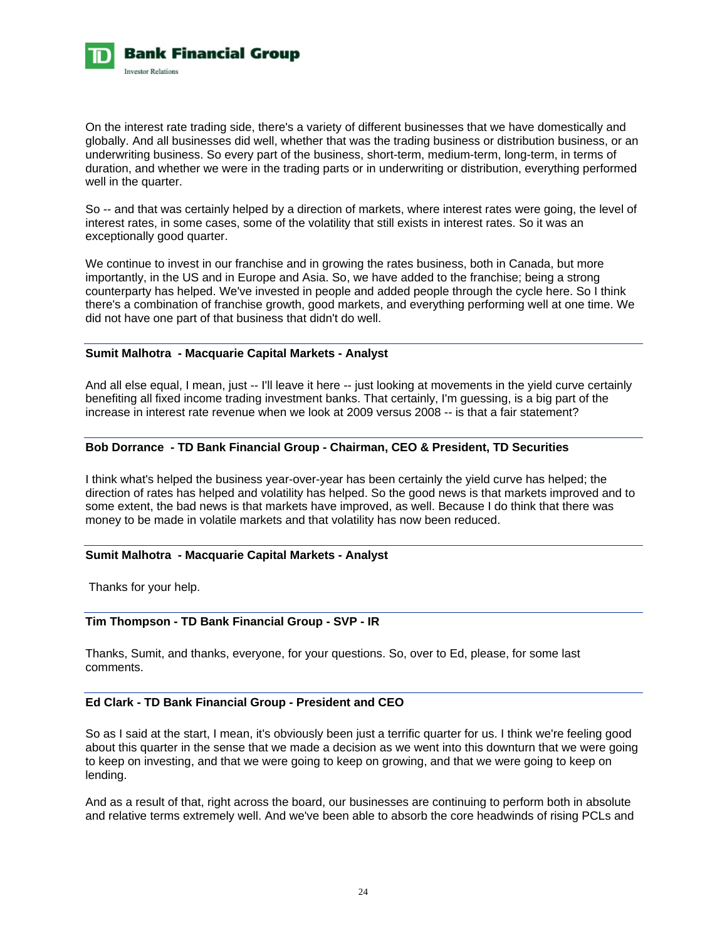

On the interest rate trading side, there's a variety of different businesses that we have domestically and globally. And all businesses did well, whether that was the trading business or distribution business, or an underwriting business. So every part of the business, short-term, medium-term, long-term, in terms of duration, and whether we were in the trading parts or in underwriting or distribution, everything performed well in the quarter.

So -- and that was certainly helped by a direction of markets, where interest rates were going, the level of interest rates, in some cases, some of the volatility that still exists in interest rates. So it was an exceptionally good quarter.

We continue to invest in our franchise and in growing the rates business, both in Canada, but more importantly, in the US and in Europe and Asia. So, we have added to the franchise; being a strong counterparty has helped. We've invested in people and added people through the cycle here. So I think there's a combination of franchise growth, good markets, and everything performing well at one time. We did not have one part of that business that didn't do well.

## **Sumit Malhotra - Macquarie Capital Markets - Analyst**

And all else equal, I mean, just -- I'll leave it here -- just looking at movements in the yield curve certainly benefiting all fixed income trading investment banks. That certainly, I'm guessing, is a big part of the increase in interest rate revenue when we look at 2009 versus 2008 -- is that a fair statement?

## **Bob Dorrance - TD Bank Financial Group - Chairman, CEO & President, TD Securities**

I think what's helped the business year-over-year has been certainly the yield curve has helped; the direction of rates has helped and volatility has helped. So the good news is that markets improved and to some extent, the bad news is that markets have improved, as well. Because I do think that there was money to be made in volatile markets and that volatility has now been reduced.

## **Sumit Malhotra - Macquarie Capital Markets - Analyst**

Thanks for your help.

## **Tim Thompson - TD Bank Financial Group - SVP - IR**

Thanks, Sumit, and thanks, everyone, for your questions. So, over to Ed, please, for some last comments.

### **Ed Clark - TD Bank Financial Group - President and CEO**

So as I said at the start, I mean, it's obviously been just a terrific quarter for us. I think we're feeling good about this quarter in the sense that we made a decision as we went into this downturn that we were going to keep on investing, and that we were going to keep on growing, and that we were going to keep on lending.

And as a result of that, right across the board, our businesses are continuing to perform both in absolute and relative terms extremely well. And we've been able to absorb the core headwinds of rising PCLs and